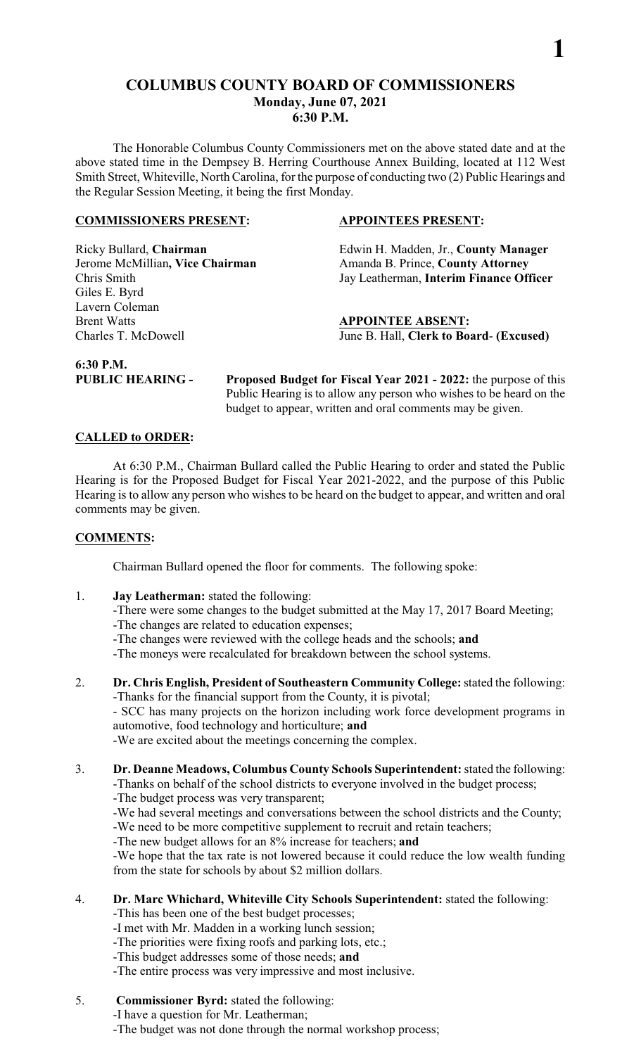### **COLUMBUS COUNTY BOARD OF COMMISSIONERS Monday, June 07, 2021 6:30 P.M.**

The Honorable Columbus County Commissioners met on the above stated date and at the above stated time in the Dempsey B. Herring Courthouse Annex Building, located at 112 West Smith Street, Whiteville, North Carolina, for the purpose of conducting two (2) Public Hearings and the Regular Session Meeting, it being the first Monday.

#### **COMMISSIONERS PRESENT: APPOINTEES PRESENT:**

Giles E. Byrd Lavern Coleman **Brent Watts APPOINTEE ABSENT:** 

Ricky Bullard, **Chairman** Edwin H. Madden, Jr., **County Manager**  Jerome McMillian, Vice Chairman Amanda B. Prince, County Attorney Chris Smith Jay Leatherman, **Interim Finance Officer**

**1**

Charles T. McDowell June B. Hall, **Clerk to Board**- **(Excused)**

**6:30 P.M.** 

**PUBLIC HEARING - Proposed Budget for Fiscal Year 2021 - 2022:** the purpose of this Public Hearing is to allow any person who wishes to be heard on the budget to appear, written and oral comments may be given.

#### **CALLED to ORDER:**

At 6:30 P.M., Chairman Bullard called the Public Hearing to order and stated the Public Hearing is for the Proposed Budget for Fiscal Year 2021-2022, and the purpose of this Public Hearing is to allow any person who wishes to be heard on the budget to appear, and written and oral comments may be given.

#### **COMMENTS:**

Chairman Bullard opened the floor for comments. The following spoke:

- 1. **Jay Leatherman:** stated the following:
	- -There were some changes to the budget submitted at the May 17, 2017 Board Meeting; -The changes are related to education expenses;
		- -The changes were reviewed with the college heads and the schools; **and**
		- -The moneys were recalculated for breakdown between the school systems.
- 2. **Dr. Chris English, President of Southeastern Community College:**stated the following: -Thanks for the financial support from the County, it is pivotal;

- SCC has many projects on the horizon including work force development programs in automotive, food technology and horticulture; **and**

-We are excited about the meetings concerning the complex.

3. **Dr. Deanne Meadows, Columbus County Schools Superintendent:**stated the following:

-Thanks on behalf of the school districts to everyone involved in the budget process;

-The budget process was very transparent;

-We had several meetings and conversations between the school districts and the County; -We need to be more competitive supplement to recruit and retain teachers;

-The new budget allows for an 8% increase for teachers; **and**

-We hope that the tax rate is not lowered because it could reduce the low wealth funding from the state for schools by about \$2 million dollars.

## 4. **Dr. Marc Whichard, Whiteville City Schools Superintendent:** stated the following:

-This has been one of the best budget processes;

-I met with Mr. Madden in a working lunch session;

-The priorities were fixing roofs and parking lots, etc.;

- -This budget addresses some of those needs; **and**
- -The entire process was very impressive and most inclusive.
- 5. **Commissioner Byrd:** stated the following:

-I have a question for Mr. Leatherman;

-The budget was not done through the normal workshop process;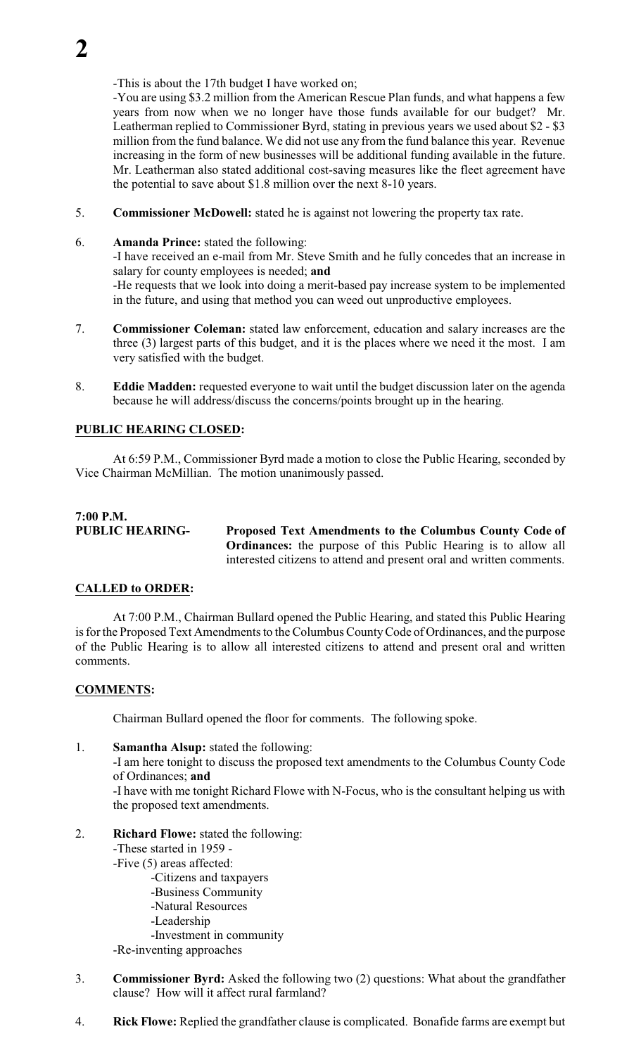-This is about the 17th budget I have worked on;

-You are using \$3.2 million from the American Rescue Plan funds, and what happens a few years from now when we no longer have those funds available for our budget? Mr. Leatherman replied to Commissioner Byrd, stating in previous years we used about \$2 - \$3 million from the fund balance. We did not use any from the fund balance this year. Revenue increasing in the form of new businesses will be additional funding available in the future. Mr. Leatherman also stated additional cost-saving measures like the fleet agreement have the potential to save about \$1.8 million over the next 8-10 years.

- 5. **Commissioner McDowell:** stated he is against not lowering the property tax rate.
- 6. **Amanda Prince:** stated the following: -I have received an e-mail from Mr. Steve Smith and he fully concedes that an increase in salary for county employees is needed; **and** -He requests that we look into doing a merit-based pay increase system to be implemented in the future, and using that method you can weed out unproductive employees.
- 7. **Commissioner Coleman:** stated law enforcement, education and salary increases are the three (3) largest parts of this budget, and it is the places where we need it the most. I am very satisfied with the budget.
- 8. **Eddie Madden:** requested everyone to wait until the budget discussion later on the agenda because he will address/discuss the concerns/points brought up in the hearing.

### **PUBLIC HEARING CLOSED:**

At 6:59 P.M., Commissioner Byrd made a motion to close the Public Hearing, seconded by Vice Chairman McMillian. The motion unanimously passed.

# **7:00 P.M.**

**PUBLIC HEARING- Proposed Text Amendments to the Columbus County Code of Ordinances:** the purpose of this Public Hearing is to allow all interested citizens to attend and present oral and written comments.

### **CALLED to ORDER:**

At 7:00 P.M., Chairman Bullard opened the Public Hearing, and stated this Public Hearing is for the Proposed Text Amendments to the Columbus CountyCode of Ordinances, and the purpose of the Public Hearing is to allow all interested citizens to attend and present oral and written comments.

### **COMMENTS:**

Chairman Bullard opened the floor for comments. The following spoke.

1. **Samantha Alsup:** stated the following:

-I am here tonight to discuss the proposed text amendments to the Columbus County Code of Ordinances; **and**

-I have with me tonight Richard Flowe with N-Focus, who is the consultant helping us with the proposed text amendments.

2. **Richard Flowe:** stated the following:

-These started in 1959 -

- -Five (5) areas affected:
	- -Citizens and taxpayers
	- -Business Community
	- -Natural Resources
	- -Leadership
	- -Investment in community
- -Re-inventing approaches
- 3. **Commissioner Byrd:** Asked the following two (2) questions: What about the grandfather clause? How will it affect rural farmland?
- 4. **Rick Flowe:** Replied the grandfather clause is complicated. Bonafide farms are exempt but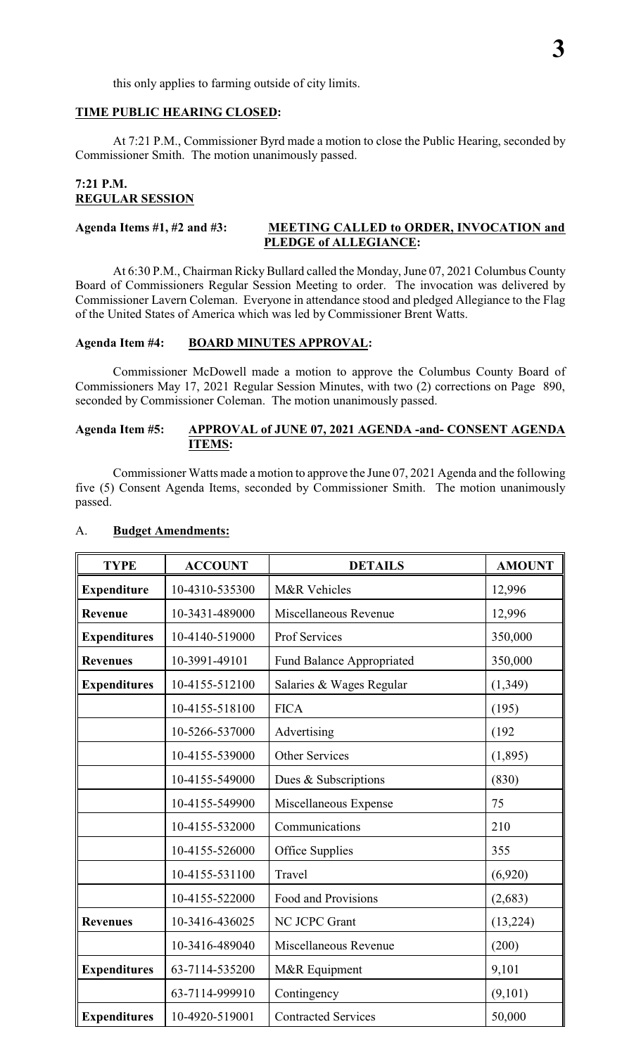this only applies to farming outside of city limits.

#### **TIME PUBLIC HEARING CLOSED:**

At 7:21 P.M., Commissioner Byrd made a motion to close the Public Hearing, seconded by Commissioner Smith. The motion unanimously passed.

#### **7:21 P.M. REGULAR SESSION**

#### **Agenda Items #1, #2 and #3: MEETING CALLED to ORDER, INVOCATION and PLEDGE of ALLEGIANCE:**

At 6:30 P.M., Chairman Ricky Bullard called the Monday, June 07, 2021 Columbus County Board of Commissioners Regular Session Meeting to order. The invocation was delivered by Commissioner Lavern Coleman. Everyone in attendance stood and pledged Allegiance to the Flag of the United States of America which was led by Commissioner Brent Watts.

#### **Agenda Item #4: BOARD MINUTES APPROVAL:**

Commissioner McDowell made a motion to approve the Columbus County Board of Commissioners May 17, 2021 Regular Session Minutes, with two (2) corrections on Page 890, seconded by Commissioner Coleman. The motion unanimously passed.

#### **Agenda Item #5: APPROVAL of JUNE 07, 2021 AGENDA -and- CONSENT AGENDA ITEMS:**

Commissioner Watts made a motion to approve the June 07, 2021 Agenda and the following five (5) Consent Agenda Items, seconded by Commissioner Smith. The motion unanimously passed.

| <b>TYPE</b>         | <b>ACCOUNT</b> | <b>DETAILS</b>                   | <b>AMOUNT</b> |
|---------------------|----------------|----------------------------------|---------------|
| <b>Expenditure</b>  | 10-4310-535300 | <b>M&amp;R</b> Vehicles          | 12,996        |
| Revenue             | 10-3431-489000 | Miscellaneous Revenue            | 12,996        |
| <b>Expenditures</b> | 10-4140-519000 | Prof Services                    | 350,000       |
| <b>Revenues</b>     | 10-3991-49101  | <b>Fund Balance Appropriated</b> | 350,000       |
| <b>Expenditures</b> | 10-4155-512100 | Salaries & Wages Regular         | (1, 349)      |
|                     | 10-4155-518100 | <b>FICA</b>                      | (195)         |
|                     | 10-5266-537000 | Advertising                      | (192)         |
|                     | 10-4155-539000 | <b>Other Services</b>            | (1,895)       |
|                     | 10-4155-549000 | Dues & Subscriptions             | (830)         |
|                     | 10-4155-549900 | Miscellaneous Expense            | 75            |
|                     | 10-4155-532000 | Communications                   | 210           |
|                     | 10-4155-526000 | Office Supplies                  | 355           |
|                     | 10-4155-531100 | Travel                           | (6,920)       |
|                     | 10-4155-522000 | Food and Provisions              | (2,683)       |
| <b>Revenues</b>     | 10-3416-436025 | NC JCPC Grant                    | (13,224)      |
|                     | 10-3416-489040 | Miscellaneous Revenue            | (200)         |
| <b>Expenditures</b> | 63-7114-535200 | M&R Equipment                    | 9,101         |
|                     | 63-7114-999910 | Contingency                      | (9,101)       |
| <b>Expenditures</b> | 10-4920-519001 | <b>Contracted Services</b>       | 50,000        |

#### A. **Budget Amendments:**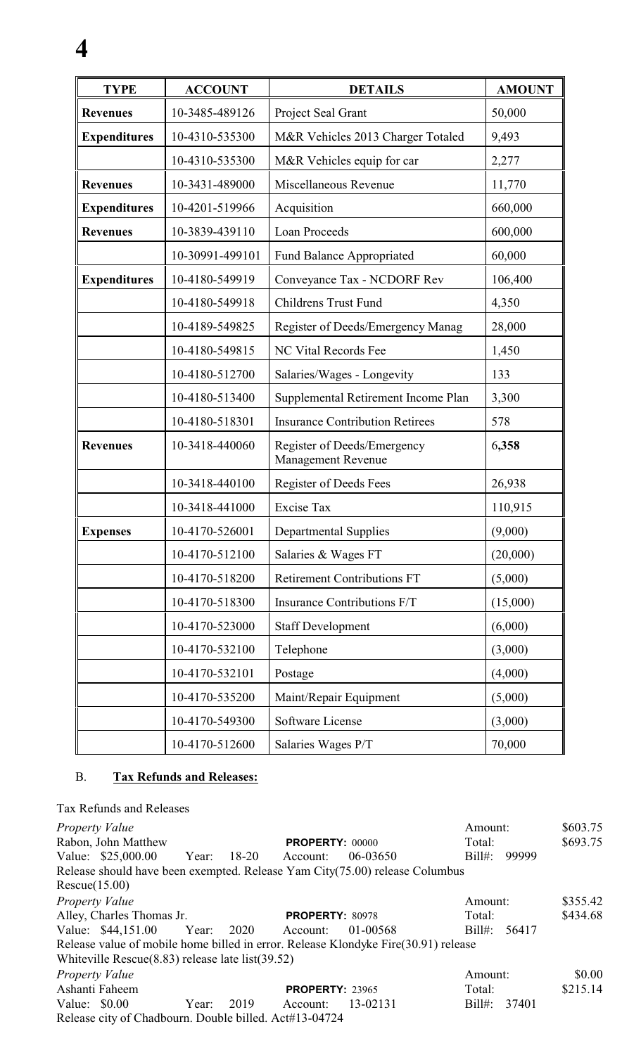| <b>TYPE</b>         | <b>ACCOUNT</b>  | <b>DETAILS</b>                                    | <b>AMOUNT</b> |
|---------------------|-----------------|---------------------------------------------------|---------------|
| <b>Revenues</b>     | 10-3485-489126  | Project Seal Grant                                | 50,000        |
| <b>Expenditures</b> | 10-4310-535300  | M&R Vehicles 2013 Charger Totaled                 | 9,493         |
|                     | 10-4310-535300  | M&R Vehicles equip for car                        | 2,277         |
| <b>Revenues</b>     | 10-3431-489000  | Miscellaneous Revenue                             | 11,770        |
| <b>Expenditures</b> | 10-4201-519966  | Acquisition                                       | 660,000       |
| <b>Revenues</b>     | 10-3839-439110  | <b>Loan Proceeds</b>                              | 600,000       |
|                     | 10-30991-499101 | Fund Balance Appropriated                         | 60,000        |
| <b>Expenditures</b> | 10-4180-549919  | Conveyance Tax - NCDORF Rev                       | 106,400       |
|                     | 10-4180-549918  | <b>Childrens Trust Fund</b>                       | 4,350         |
|                     | 10-4189-549825  | Register of Deeds/Emergency Manag                 | 28,000        |
|                     | 10-4180-549815  | <b>NC Vital Records Fee</b>                       | 1,450         |
|                     | 10-4180-512700  | Salaries/Wages - Longevity                        | 133           |
|                     | 10-4180-513400  | Supplemental Retirement Income Plan               | 3,300         |
|                     | 10-4180-518301  | <b>Insurance Contribution Retirees</b>            | 578           |
| <b>Revenues</b>     | 10-3418-440060  | Register of Deeds/Emergency<br>Management Revenue | 6,358         |
|                     | 10-3418-440100  | Register of Deeds Fees                            | 26,938        |
|                     | 10-3418-441000  | <b>Excise Tax</b>                                 | 110,915       |
| <b>Expenses</b>     | 10-4170-526001  | <b>Departmental Supplies</b>                      | (9,000)       |
|                     | 10-4170-512100  | Salaries & Wages FT                               | (20,000)      |
|                     | 10-4170-518200  | <b>Retirement Contributions FT</b>                | (5,000)       |
|                     | 10-4170-518300  | Insurance Contributions F/T                       | (15,000)      |
|                     | 10-4170-523000  | <b>Staff Development</b>                          | (6,000)       |
|                     | 10-4170-532100  | Telephone                                         | (3,000)       |
|                     | 10-4170-532101  | Postage                                           | (4,000)       |
|                     | 10-4170-535200  | Maint/Repair Equipment                            | (5,000)       |
|                     | 10-4170-549300  | Software License                                  | (3,000)       |
|                     | 10-4170-512600  | Salaries Wages P/T                                | 70,000        |

### B. **Tax Refunds and Releases:**

**4**

Tax Refunds and Releases *Property Value* \$603.75 Rabon, John Matthew **PROPERTY:** 00000 Total: \$693.75<br>
Value: \$25,000.00 Year: 18-20 Account: 06-03650 Bill#: 99999 Value: \$25,000.00 Year: 18-20 Account: 06-03650 Release should have been exempted. Release Yam City(75.00) release Columbus Rescue(15.00) *Property Value* Amount: \$355.42 Alley, Charles Thomas Jr. **PROPERTY**: 80978 Total: \$434.68 Value: \$44,151.00 Year: 2020 Account: 01-00568 Bill#: 56417 Release value of mobile home billed in error. Release Klondyke Fire(30.91) release Whiteville Rescue(8.83) release late list(39.52) *Property Value* 50.00<br>
Ashanti Faheem **PROPERTY**: 23965 Total: \$215.14 **PROPERTY:** 23965 Total: \$215.14 Value: \$0.00 Year: 2019 Account: 13-02131 Bill#: 37401 Release city of Chadbourn. Double billed. Act#13-04724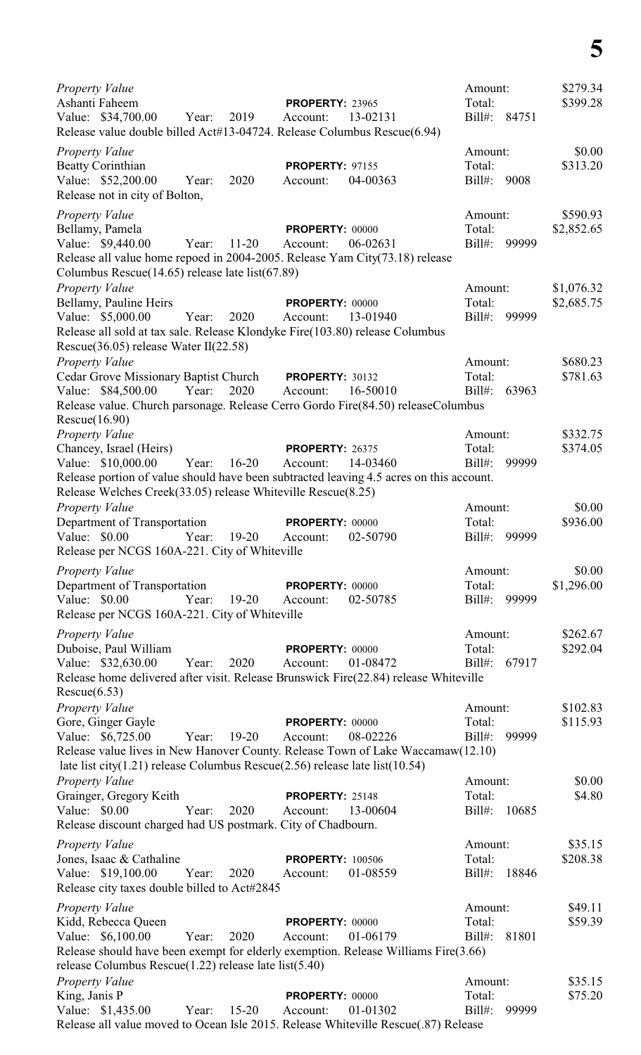*Property Value* \$279.34 Ashanti Faheem **PROPERTY:** 23965 Total: \$399.28 Value: \$34,700.00 Year: 2019 Account: 13-02131 Bill#: 84751 Release value double billed Act#13-04724. Release Columbus Rescue(6.94) *Property Value* \$0.00 Beatty Corinthian **PROPERTY:** 97155 Total: \$313.20 Value: \$52,200.00 Year: 2020 Account: 04-00363 Bill#: 9008 Release not in city of Bolton, *Property Value* \$590.93 Bellamy, Pamela **PROPERTY:** 00000 Total: \$2,852.65 Value: \$9,440.00 Year: 11-20 Account: 06-02631 Bill#: 99999 Release all value home repoed in 2004-2005. Release Yam City(73.18) release Columbus Rescue(14.65) release late list(67.89) *Property Value* \$1,076.32 Bellamy, Pauline Heirs **PROPERTY:** 00000 Total: \$2,685.75 Value: \$5,000.00 Year: 2020 Account: 13-01940 Bill#: 99999 Release all sold at tax sale. Release Klondyke Fire(103.80) release Columbus Rescue(36.05) release Water II(22.58) *Property Value* \$680.23 Cedar Grove Missionary Baptist Church **PROPERTY:** 30132 Total: \$781.63 Value: \$84,500.00 Year: 2020 Account: 16-50010 Bill#: 63963 Release value. Church parsonage. Release Cerro Gordo Fire(84.50) releaseColumbus Rescue(16.90) *Property Value* \$332.75 Chancey, Israel (Heirs) **PROPERTY:** 26375 Total: \$374.05<br>
Value: \$10.000.00 Year: 16-20 Account: 14-03460 Bill#: 99999 Value: \$10,000.00 Year: 16-20 Account: 14-03460 Bill#: Release portion of value should have been subtracted leaving 4.5 acres on this account. Release Welches Creek(33.05) release Whiteville Rescue(8.25) *Property Value* \$0.00 Department of Transportation **PROPERTY:** 00000 Total: \$936.00 Value: \$0.00 Year: 19-20 Account: 02-50790 Bill#: 99999 Release per NCGS 160A-221. City of Whiteville *Property Value* \$0.00 **Department of Transportation PROPERTY:** 00000 Total: \$1,296.00<br>Value: \$0.00 Year: 19-20 Account: 02-50785 Bill#: 99999 Value: \$0.00 Year: 19-20 Account: 02-50785 Release per NCGS 160A-221. City of Whiteville *Property Value* \$262.67 Duboise, Paul William **PROPERTY:** 00000 Total: \$292.04 Value: \$32,630.00 Year: 2020 Account: 01-08472 Bill#: 67917 Release home delivered after visit. Release Brunswick Fire(22.84) release Whiteville Rescue(6.53) *Property Value* \$102.83 Gore, Ginger Gayle **PROPERTY:** 00000 Total: \$115.93 Value: \$6,725.00 Year: 19-20 Account: 08-02226 Bill#: 99999 Release value lives in New Hanover County. Release Town of Lake Waccamaw(12.10) late list city(1.21) release Columbus Rescue(2.56) release late list(10.54) *Property Value* \$0.00 Grainger, Gregory Keith **PROPERTY:** 25148 Total: \$4.80 Value: \$0.00 Year: 2020 Account: 13-00604 Bill#: 10685 Release discount charged had US postmark. City of Chadbourn. *Property Value* \$35.15 Jones, Isaac & Cathaline **PROPERTY:** 100506 Total: \$208.38 Value: \$19,100.00 Year: 2020 Account: 01-08559 Bill#: 18846 Release city taxes double billed to Act#2845 *Property Value* \$49.11 **Amount:** \$49.11 Kidd, Rebecca Queen **PROPERTY:** 00000 Total: \$59.39 Value: \$6,100.00 Year: 2020 Account: 01-06179 Bill#: 81801 Release should have been exempt for elderly exemption. Release Williams Fire(3.66) release Columbus Rescue(1.22) release late list(5.40) *Property Value* \$35.15 **King, Janis P PROPERTY:** 00000 **Total: \$75.20** Value: \$1,435.00 Year: 15-20 Account: 01-01302 Bill#: 99999 Release all value moved to Ocean Isle 2015. Release Whiteville Rescue(.87) Release

**5**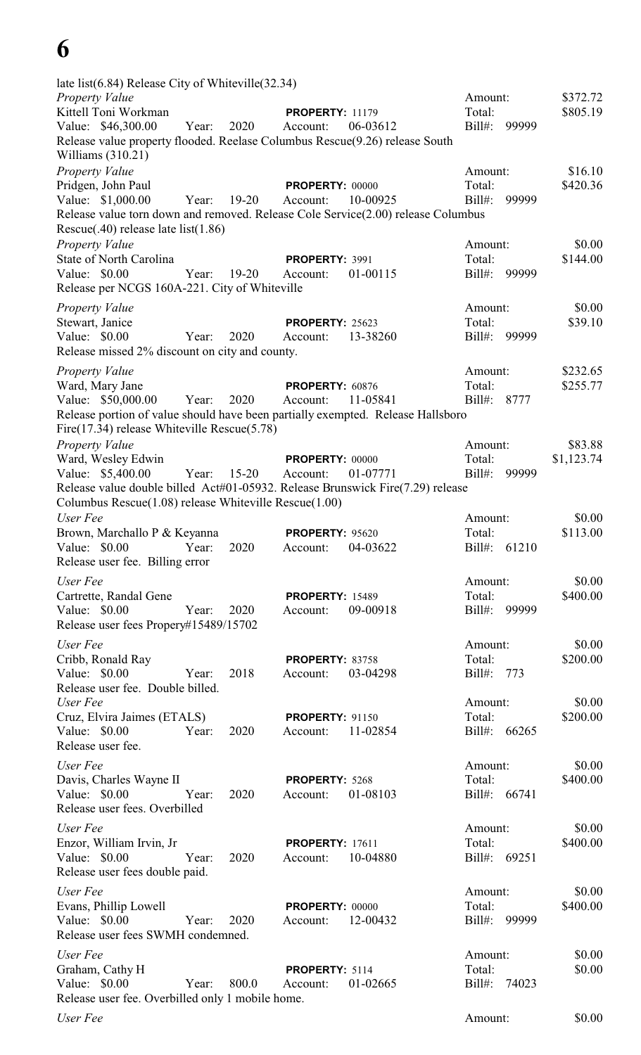## **6**

| late list(6.84) Release City of Whiteville(32.34)<br><b>Property Value</b>                            |             |           |                                    |          | Amount:             |       | \$372.72             |
|-------------------------------------------------------------------------------------------------------|-------------|-----------|------------------------------------|----------|---------------------|-------|----------------------|
| Kittell Toni Workman                                                                                  |             |           | <b>PROPERTY: 11179</b>             |          | Total:              |       | \$805.19             |
| Value: \$46,300.00                                                                                    | Year:       | 2020      | Account:                           | 06-03612 | Bill#:              | 99999 |                      |
| Release value property flooded. Reelase Columbus Rescue(9.26) release South<br>Williams $(310.21)$    |             |           |                                    |          |                     |       |                      |
| <b>Property Value</b>                                                                                 |             |           |                                    |          | Amount:             |       | \$16.10              |
| Pridgen, John Paul                                                                                    |             | $19-20$   | <b>PROPERTY: 00000</b>             | 10-00925 | Total:              | 99999 | \$420.36             |
| Value: \$1,000.00<br>Release value torn down and removed. Release Cole Service(2.00) release Columbus | Year:       |           | Account:                           |          | $Bill#$ :           |       |                      |
| Rescue(.40) release late list(1.86)                                                                   |             |           |                                    |          |                     |       |                      |
| <b>Property Value</b>                                                                                 |             |           |                                    |          | Amount:             |       | \$0.00               |
| <b>State of North Carolina</b>                                                                        |             |           | PROPERTY: 3991                     |          | Total:              |       | \$144.00             |
| Value: \$0.00                                                                                         | Year:       | $19 - 20$ | Account:                           | 01-00115 | Bill#:              | 99999 |                      |
| Release per NCGS 160A-221. City of Whiteville                                                         |             |           |                                    |          |                     |       |                      |
| <b>Property Value</b>                                                                                 |             |           |                                    |          | Amount:             |       | \$0.00               |
| Stewart, Janice<br>Value: \$0.00                                                                      |             | 2020      | <b>PROPERTY: 25623</b><br>Account: |          | Total:              |       | \$39.10              |
| Release missed 2% discount on city and county.                                                        | Year:       |           |                                    | 13-38260 | $Bill#$ :           | 99999 |                      |
|                                                                                                       |             |           |                                    |          | Amount:             |       |                      |
| <b>Property Value</b><br>Ward, Mary Jane                                                              |             |           | PROPERTY: 60876                    |          | Total:              |       | \$232.65<br>\$255.77 |
| Value: \$50,000.00                                                                                    | Year:       | 2020      | Account:                           | 11-05841 | Bill#:              | 8777  |                      |
| Release portion of value should have been partially exempted. Release Hallsboro                       |             |           |                                    |          |                     |       |                      |
| Fire $(17.34)$ release Whiteville Rescue $(5.78)$                                                     |             |           |                                    |          |                     |       |                      |
| <b>Property Value</b>                                                                                 |             |           |                                    |          | Amount:             |       | \$83.88              |
| Ward, Wesley Edwin                                                                                    |             |           | <b>PROPERTY: 00000</b>             |          | Total:              |       | \$1,123.74           |
| Value: \$5,400.00<br>Release value double billed Act#01-05932. Release Brunswick Fire(7.29) release   | Year: 15-20 |           | Account:                           | 01-07771 | $Bill#$ :           | 99999 |                      |
| Columbus Rescue(1.08) release Whiteville Rescue(1.00)                                                 |             |           |                                    |          |                     |       |                      |
| User Fee                                                                                              |             |           |                                    |          | Amount:             |       | \$0.00               |
| Brown, Marchallo P & Keyanna                                                                          |             |           | <b>PROPERTY: 95620</b>             |          | Total:              |       | \$113.00             |
| Value: \$0.00 Year:                                                                                   |             | 2020      | Account: 04-03622                  |          | Bill#: 61210        |       |                      |
| Release user fee. Billing error                                                                       |             |           |                                    |          |                     |       |                      |
| User Fee                                                                                              |             |           |                                    |          | Amount:             |       | \$0.00               |
| Cartrette, Randal Gene                                                                                |             |           | <b>PROPERTY: 15489</b>             |          | Total:              |       | \$400.00             |
| Value: \$0.00<br>Release user fees Propery#15489/15702                                                | Year:       | 2020      | Account:                           | 09-00918 | Bill#: 99999        |       |                      |
| User Fee                                                                                              |             |           |                                    |          | Amount:             |       | \$0.00               |
| Cribb, Ronald Ray                                                                                     |             |           | <b>PROPERTY: 83758</b>             |          | Total:              |       | \$200.00             |
| Value: $$0.00$                                                                                        | Year:       | 2018      | Account:                           | 03-04298 | Bill#: 773          |       |                      |
| Release user fee. Double billed.                                                                      |             |           |                                    |          |                     |       |                      |
| User Fee<br>Cruz, Elvira Jaimes (ETALS)                                                               |             |           | <b>PROPERTY: 91150</b>             |          | Amount:<br>Total:   |       | \$0.00<br>\$200.00   |
| Value: \$0.00                                                                                         | Year:       | 2020      | Account:                           | 11-02854 | Bill#: 66265        |       |                      |
| Release user fee.                                                                                     |             |           |                                    |          |                     |       |                      |
| User Fee                                                                                              |             |           |                                    |          | Amount:             |       | \$0.00               |
| Davis, Charles Wayne II                                                                               |             |           | PROPERTY: 5268                     |          | Total:              |       | \$400.00             |
| Value: \$0.00                                                                                         | Year:       | 2020      | Account:                           | 01-08103 | Bill#: 66741        |       |                      |
| Release user fees. Overbilled                                                                         |             |           |                                    |          |                     |       |                      |
| User Fee                                                                                              |             |           |                                    |          | Amount:             |       | \$0.00               |
| Enzor, William Irvin, Jr                                                                              |             |           | <b>PROPERTY: 17611</b>             |          | Total:              |       | \$400.00             |
| Value: \$0.00<br>Release user fees double paid.                                                       | Year:       | 2020      | Account:                           | 10-04880 | Bill#: 69251        |       |                      |
| User Fee                                                                                              |             |           |                                    |          | Amount:             |       | \$0.00               |
| Evans, Phillip Lowell                                                                                 |             |           | <b>PROPERTY: 00000</b>             |          | Total:              |       | \$400.00             |
| Value: \$0.00                                                                                         | Year:       | 2020      | Account:                           | 12-00432 | Bill#:              | 99999 |                      |
| Release user fees SWMH condemned.                                                                     |             |           |                                    |          |                     |       |                      |
| User Fee                                                                                              |             |           |                                    |          | Amount:             |       | \$0.00               |
| Graham, Cathy H<br>Value: \$0.00                                                                      | Year:       | 800.0     | PROPERTY: 5114                     |          | Total:<br>$Bill#$ : | 74023 | \$0.00               |
| Release user fee. Overbilled only 1 mobile home.                                                      |             |           | Account:                           | 01-02665 |                     |       |                      |
| User Fee                                                                                              |             |           |                                    |          | Amount:             |       | \$0.00               |
|                                                                                                       |             |           |                                    |          |                     |       |                      |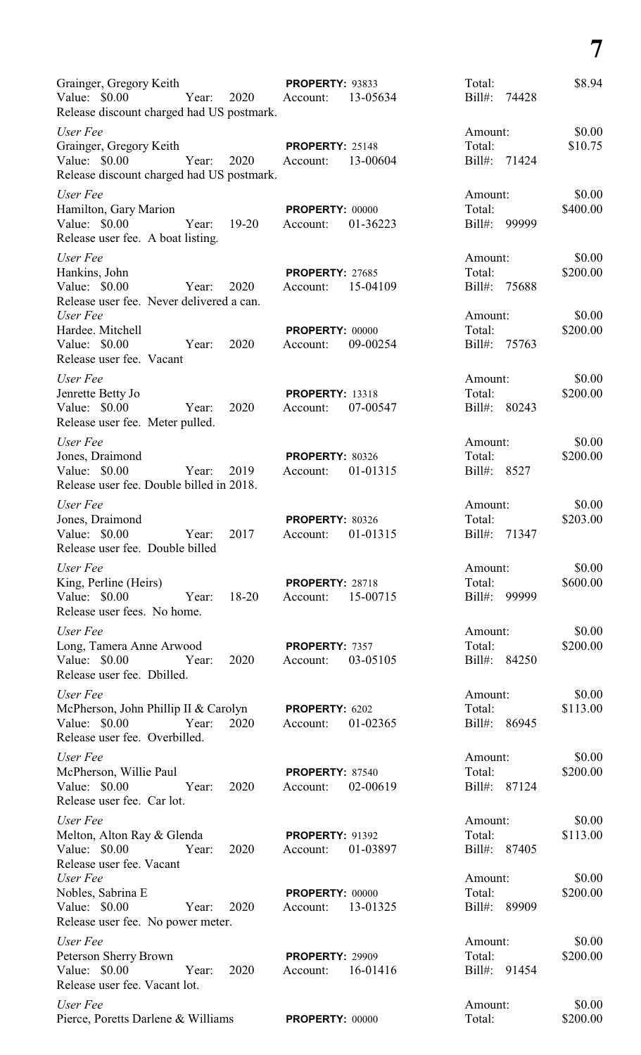| Grainger, Gregory Keith<br>Value: $$0.00$<br>2020<br>Year:<br>Release discount charged had US postmark.                                     | PROPERTY: 93833<br>13-05634<br>Account:        | Total:<br>$Bill#$ :<br>74428                 | \$8.94                       |
|---------------------------------------------------------------------------------------------------------------------------------------------|------------------------------------------------|----------------------------------------------|------------------------------|
| User Fee<br>Grainger, Gregory Keith<br>Value: \$0.00<br>Year:<br>2020<br>Release discount charged had US postmark.                          | <b>PROPERTY: 25148</b><br>13-00604<br>Account: | Amount:<br>Total:<br>Bill#: 71424            | \$0.00<br>\$10.75            |
| User Fee<br>Hamilton, Gary Marion<br>Value: \$0.00<br>Year:<br>$19-20$<br>Release user fee. A boat listing.                                 | PROPERTY: 00000<br>01-36223<br>Account:        | Amount:<br>Total:<br>Bill#: 99999            | \$0.00<br>\$400.00           |
| User Fee<br>Hankins, John<br>Value: \$0.00<br>2020<br>Year:<br>Release user fee. Never delivered a can.<br>User Fee                         | <b>PROPERTY: 27685</b><br>15-04109<br>Account: | Amount:<br>Total:<br>Bill#: 75688<br>Amount: | \$0.00<br>\$200.00<br>\$0.00 |
| Hardee. Mitchell<br>Value: \$0.00<br>2020<br>Year:<br>Release user fee. Vacant                                                              | <b>PROPERTY: 00000</b><br>09-00254<br>Account: | Total:<br>Bill#: 75763                       | \$200.00                     |
| User Fee<br>Jenrette Betty Jo<br>Value: \$0.00<br>2020<br>Year:<br>Release user fee. Meter pulled.                                          | <b>PROPERTY: 13318</b><br>07-00547<br>Account: | Amount:<br>Total:<br>Bill#: 80243            | \$0.00<br>\$200.00           |
| User Fee<br>Jones, Draimond<br>Value: \$0.00<br>Year:<br>2019<br>Release user fee. Double billed in 2018.                                   | PROPERTY: 80326<br>01-01315<br>Account:        | Amount:<br>Total:<br>Bill#: 8527             | \$0.00<br>\$200.00           |
| User Fee<br>Jones, Draimond<br>Value: \$0.00<br>2017<br>Year:<br>Release user fee. Double billed                                            | <b>PROPERTY: 80326</b><br>01-01315<br>Account: | Amount:<br>Total:<br>Bill#: 71347            | \$0.00<br>\$203.00           |
| User Fee<br>King, Perline (Heirs)<br>Release user fees. No home.                                                                            | <b>PROPERTY: 28718</b>                         | Amount:<br>Total:<br>Bill#: 99999            | \$0.00<br>\$600.00           |
| User Fee<br>Long, Tamera Anne Arwood <b>PROPERTY</b> : 7357<br>Value: \$0.00   Year: 2020   Account: 03-05105<br>Release user fee. Dbilled. |                                                | Amount:<br>Total:<br>Bill#: 84250            | \$0.00<br>\$200.00           |
| User Fee<br>McPherson, John Phillip II & Carolyn PROPERTY: 6202<br>Release user fee. Overbilled.                                            |                                                | Amount:<br>Total:<br>Bill#: 86945            | \$0.00<br>\$113.00           |
| User Fee<br>McPherson, Willie Paul <b>PROPERTY</b> : 87540<br>Value: \$0.00   Year: 2020   Account: 02-00619<br>Release user fee. Car lot.  |                                                | Amount:<br>Total:<br>Bill#: 87124            | \$0.00<br>\$200.00           |
| User Fee<br>Melton, Alton Ray & Glenda<br><b>PROPERTY</b> : 91392<br>Release user fee. Vacant                                               |                                                | Amount:<br>Total:<br>Bill#: 87405            | \$0.00<br>\$113.00           |
| User Fee<br>Nobles, Sabrina E<br>Value: \$0.00 Year: 2020<br>Release user fee. No power meter.                                              | <b>PROPERTY: 00000</b><br>Account: 13-01325    | Amount:<br>Total:<br>Bill#: 89909            | \$0.00<br>\$200.00           |
| User Fee<br>Peterson Sherry Brown<br>Release user fee. Vacant lot.                                                                          | <b>PROPERTY: 29909</b>                         | Amount:<br>Total:<br>Bill#: 91454            | \$0.00<br>\$200.00           |
| User Fee<br>Pierce, Poretts Darlene & Williams PROPERTY: 00000                                                                              |                                                | Amount:<br>Total:                            | \$0.00<br>\$200.00           |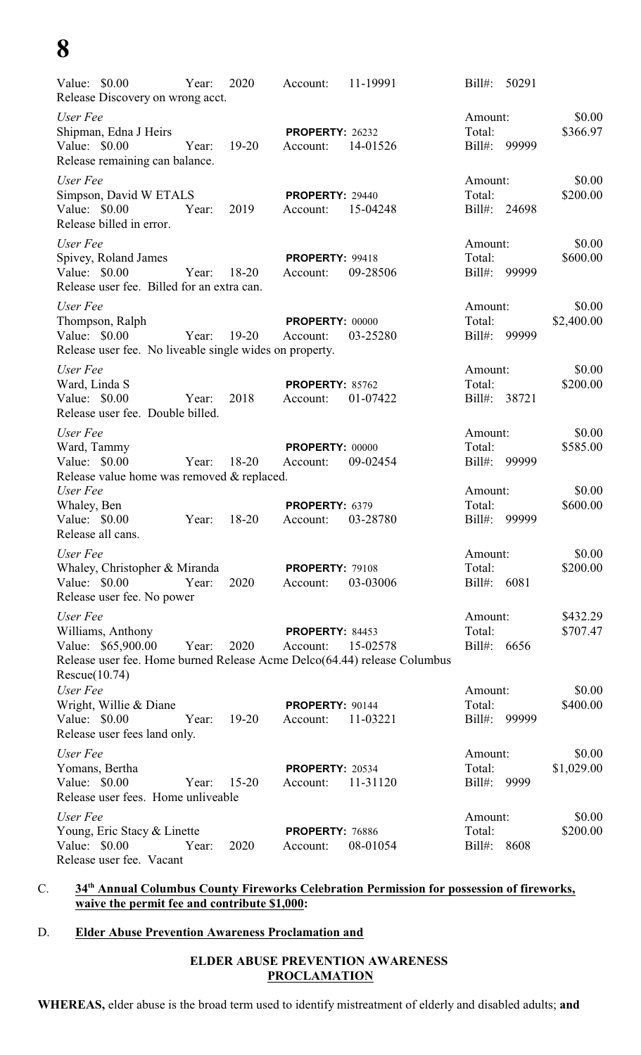## **8**

| Value: \$0.00<br>Release Discovery on wrong acct.                                                                                                | Year: | 2020      | Account:                           | 11-19991 | $Bill#$ :                        | 50291        |                      |
|--------------------------------------------------------------------------------------------------------------------------------------------------|-------|-----------|------------------------------------|----------|----------------------------------|--------------|----------------------|
| User Fee<br>Shipman, Edna J Heirs<br>Value: \$0.00<br>Release remaining can balance.                                                             | Year: | $19 - 20$ | <b>PROPERTY: 26232</b><br>Account: | 14-01526 | Amount:<br>Total:<br>$Bill#$ :   | 99999        | \$0.00<br>\$366.97   |
| User Fee<br>Simpson, David W ETALS<br>Value: \$0.00<br>Release billed in error.                                                                  | Year: | 2019      | <b>PROPERTY: 29440</b><br>Account: | 15-04248 | Amount:<br>Total:                | Bill#: 24698 | \$0.00<br>\$200.00   |
| User Fee<br>Spivey, Roland James<br>Value: \$0.00<br>Release user fee. Billed for an extra can.                                                  | Year: | $18 - 20$ | PROPERTY: 99418<br>Account:        | 09-28506 | Amount:<br>Total:<br>Bill#:      | 99999        | \$0.00<br>\$600.00   |
| User Fee<br>Thompson, Ralph<br>Value: \$0.00<br>Release user fee. No liveable single wides on property.                                          | Year: | 19-20     | PROPERTY: 00000<br>Account:        | 03-25280 | Amount:<br>Total:<br>Bill#:      | 99999        | \$0.00<br>\$2,400.00 |
| User Fee<br>Ward, Linda S<br>Value: \$0.00<br>Release user fee. Double billed.                                                                   | Year: | 2018      | PROPERTY: 85762<br>Account:        | 01-07422 | Amount:<br>Total:<br>$Bill#$ :   | 38721        | \$0.00<br>\$200.00   |
| User Fee<br>Ward, Tammy<br>Value: \$0.00<br>Release value home was removed & replaced.                                                           | Year: | $18 - 20$ | PROPERTY: 00000<br>Account:        | 09-02454 | Amount:<br>Total:<br>Bill#:      | 99999        | \$0.00<br>\$585.00   |
| User Fee<br>Whaley, Ben<br>Value: \$0.00<br>Release all cans.                                                                                    | Year: | $18 - 20$ | PROPERTY: 6379<br>Account:         | 03-28780 | Amount:<br>Total:<br>$Bill#$ :   | 99999        | \$0.00<br>\$600.00   |
| User Fee<br>Whaley, Christopher & Miranda<br>Value: \$0.00<br>Release user fee. No power                                                         | Year: | 2020      | <b>PROPERTY: 79108</b><br>Account: | 03-03006 | Amount:<br>Total:<br>Bill#: 6081 |              | \$0.00<br>\$200.00   |
| User Fee<br>Williams, Anthony<br>Value: \$65,900.00<br>Release user fee. Home burned Release Acme Delco(64.44) release Columbus<br>Rescue(10.74) | Year: | 2020      | PROPERTY: 84453<br>Account:        | 15-02578 | Amount:<br>Total:<br>$Bill#$ :   | 6656         | \$432.29<br>\$707.47 |
| User Fee<br>Wright, Willie & Diane<br>Value: \$0.00<br>Release user fees land only.                                                              | Year: | $19 - 20$ | PROPERTY: 90144<br>Account:        | 11-03221 | Amount:<br>Total:<br>Bill#:      | 99999        | \$0.00<br>\$400.00   |
| User Fee<br>Yomans, Bertha<br>Value: \$0.00<br>Release user fees. Home unliveable                                                                | Year: | $15 - 20$ | <b>PROPERTY: 20534</b><br>Account: | 11-31120 | Amount:<br>Total:<br>Bill#:      | 9999         | \$0.00<br>\$1,029.00 |
| User Fee<br>Young, Eric Stacy & Linette<br>Value: \$0.00<br>Release user fee. Vacant                                                             | Year: | 2020      | PROPERTY: 76886<br>Account:        | 08-01054 | Amount:<br>Total:<br>$Bill#$ :   | 8608         | \$0.00<br>\$200.00   |

#### C. **34th Annual Columbus County Fireworks Celebration Permission for possession of fireworks, waive the permit fee and contribute \$1,000:**

#### D. **Elder Abuse Prevention Awareness Proclamation and**

### **ELDER ABUSE PREVENTION AWARENESS PROCLAMATION**

**WHEREAS,** elder abuse is the broad term used to identify mistreatment of elderly and disabled adults; **and**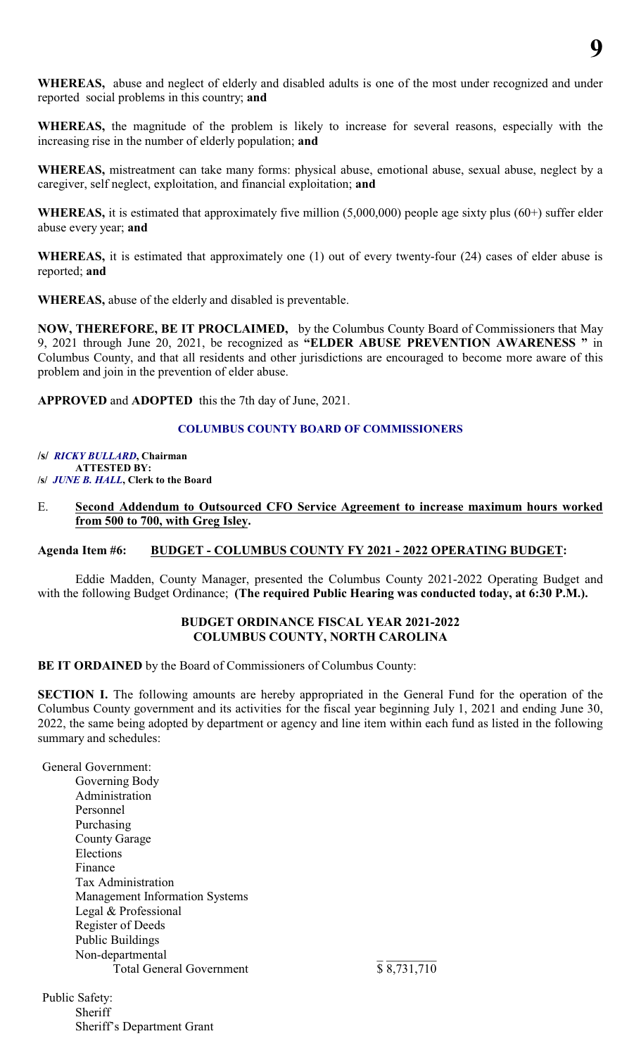

**WHEREAS,** abuse and neglect of elderly and disabled adults is one of the most under recognized and under reported social problems in this country; **and**

**WHEREAS,** the magnitude of the problem is likely to increase for several reasons, especially with the increasing rise in the number of elderly population; **and**

**WHEREAS,** mistreatment can take many forms: physical abuse, emotional abuse, sexual abuse, neglect by a caregiver, self neglect, exploitation, and financial exploitation; **and**

**WHEREAS,** it is estimated that approximately five million (5,000,000) people age sixty plus (60+) suffer elder abuse every year; **and**

**WHEREAS,** it is estimated that approximately one (1) out of every twenty-four (24) cases of elder abuse is reported; **and**

**WHEREAS,** abuse of the elderly and disabled is preventable.

**NOW, THEREFORE, BE IT PROCLAIMED,** by the Columbus County Board of Commissioners that May 9, 2021 through June 20, 2021, be recognized as **"ELDER ABUSE PREVENTION AWARENESS "** in Columbus County, and that all residents and other jurisdictions are encouraged to become more aware of this problem and join in the prevention of elder abuse.

**APPROVED** and **ADOPTED** this the 7th day of June, 2021.

#### **COLUMBUS COUNTY BOARD OF COMMISSIONERS**

**/s/** *RICKY BULLARD***, Chairman ATTESTED BY: /s/** *JUNE B. HALL***, Clerk to the Board**

#### E. **Second Addendum to Outsourced CFO Service Agreement to increase maximum hours worked from 500 to 700, with Greg Isley.**

#### **Agenda Item #6: BUDGET - COLUMBUS COUNTY FY 2021 - 2022 OPERATING BUDGET:**

Eddie Madden, County Manager, presented the Columbus County 2021-2022 Operating Budget and with the following Budget Ordinance; **(The required Public Hearing was conducted today, at 6:30 P.M.).**

#### **BUDGET ORDINANCE FISCAL YEAR 2021-2022 COLUMBUS COUNTY, NORTH CAROLINA**

**BE IT ORDAINED** by the Board of Commissioners of Columbus County:

**SECTION I.** The following amounts are hereby appropriated in the General Fund for the operation of the Columbus County government and its activities for the fiscal year beginning July 1, 2021 and ending June 30, 2022, the same being adopted by department or agency and line item within each fund as listed in the following summary and schedules:

General Government: Governing Body Administration Personnel Purchasing County Garage Elections Finance Tax Administration Management Information Systems Legal & Professional Register of Deeds Public Buildings Non-departmental<br>Total General Government<br> $\frac{1}{8}$   $\frac{1}{8,731,710}$ Total General Government

Public Safety: **Sheriff** Sheriff's Department Grant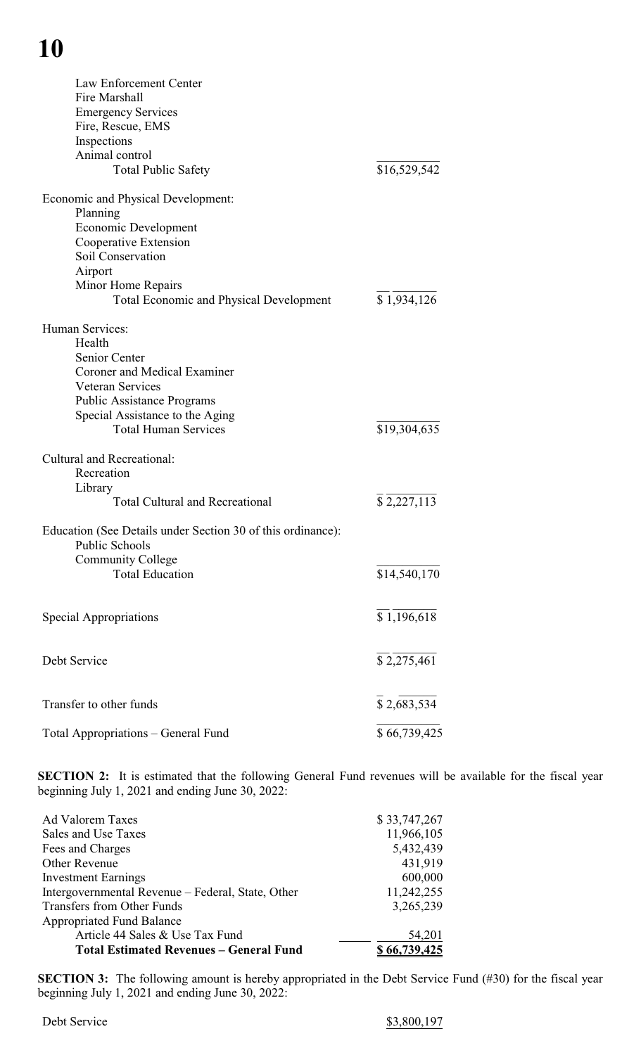## **10**

| Law Enforcement Center<br>Fire Marshall<br><b>Emergency Services</b><br>Fire, Rescue, EMS<br>Inspections<br>Animal control<br><b>Total Public Safety</b> | \$16,529,542 |
|----------------------------------------------------------------------------------------------------------------------------------------------------------|--------------|
| Economic and Physical Development:                                                                                                                       |              |
| Planning                                                                                                                                                 |              |
| Economic Development                                                                                                                                     |              |
| Cooperative Extension                                                                                                                                    |              |
| Soil Conservation                                                                                                                                        |              |
| Airport                                                                                                                                                  |              |
| Minor Home Repairs                                                                                                                                       |              |
| <b>Total Economic and Physical Development</b>                                                                                                           | \$1,934,126  |
| Human Services:                                                                                                                                          |              |
| Health                                                                                                                                                   |              |
| Senior Center                                                                                                                                            |              |
| <b>Coroner and Medical Examiner</b>                                                                                                                      |              |
| <b>Veteran Services</b>                                                                                                                                  |              |
| <b>Public Assistance Programs</b>                                                                                                                        |              |
| Special Assistance to the Aging                                                                                                                          |              |
| <b>Total Human Services</b>                                                                                                                              | \$19,304,635 |
| <b>Cultural and Recreational:</b>                                                                                                                        |              |
| Recreation                                                                                                                                               |              |
| Library                                                                                                                                                  |              |
| <b>Total Cultural and Recreational</b>                                                                                                                   | \$2,227,113  |
| Education (See Details under Section 30 of this ordinance):                                                                                              |              |
| <b>Public Schools</b>                                                                                                                                    |              |
| <b>Community College</b>                                                                                                                                 |              |
| <b>Total Education</b>                                                                                                                                   | \$14,540,170 |
|                                                                                                                                                          |              |
| Special Appropriations                                                                                                                                   | \$1,196,618  |
|                                                                                                                                                          |              |
| Debt Service                                                                                                                                             | \$2,275,461  |
|                                                                                                                                                          |              |
| Transfer to other funds                                                                                                                                  | \$2,683,534  |
|                                                                                                                                                          |              |
| Total Appropriations - General Fund                                                                                                                      | \$66,739,425 |

**SECTION 2:** It is estimated that the following General Fund revenues will be available for the fiscal year beginning July 1, 2021 and ending June 30, 2022:

| Ad Valorem Taxes                                  | \$33,747,267  |
|---------------------------------------------------|---------------|
| Sales and Use Taxes                               | 11,966,105    |
| Fees and Charges                                  | 5,432,439     |
| Other Revenue                                     | 431,919       |
| <b>Investment Earnings</b>                        | 600,000       |
| Intergovernmental Revenue - Federal, State, Other | 11,242,255    |
| Transfers from Other Funds                        | 3,265,239     |
| <b>Appropriated Fund Balance</b>                  |               |
| Article 44 Sales & Use Tax Fund                   | 54,201        |
| <b>Total Estimated Revenues - General Fund</b>    | \$ 66,739,425 |

**SECTION 3:** The following amount is hereby appropriated in the Debt Service Fund (#30) for the fiscal year beginning July 1, 2021 and ending June 30, 2022: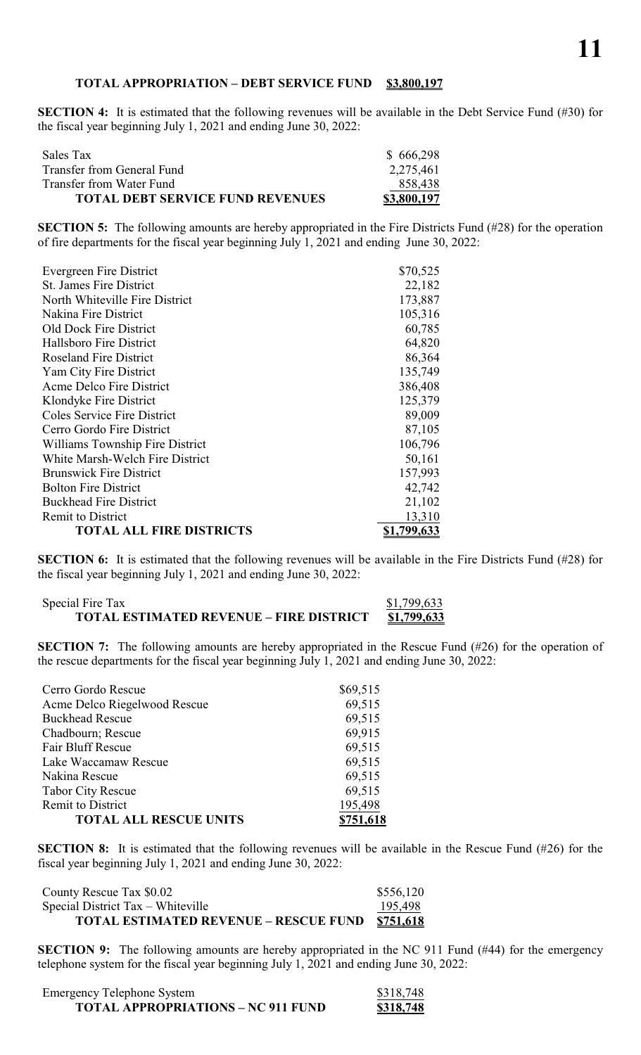#### **TOTAL APPROPRIATION – DEBT SERVICE FUND \$3,800,197**

**SECTION 4:** It is estimated that the following revenues will be available in the Debt Service Fund (#30) for the fiscal year beginning July 1, 2021 and ending June 30, 2022:

| Sales Tax                               | \$666,298   |
|-----------------------------------------|-------------|
| Transfer from General Fund              | 2,275,461   |
| Transfer from Water Fund                | 858,438     |
| <b>TOTAL DEBT SERVICE FUND REVENUES</b> | \$3,800,197 |

**SECTION 5:** The following amounts are hereby appropriated in the Fire Districts Fund (#28) for the operation of fire departments for the fiscal year beginning July 1, 2021 and ending June 30, 2022:

| Evergreen Fire District            | \$70,525    |
|------------------------------------|-------------|
| <b>St. James Fire District</b>     | 22,182      |
| North Whiteville Fire District     | 173,887     |
| Nakina Fire District               | 105,316     |
| Old Dock Fire District             | 60,785      |
| Hallsboro Fire District            | 64,820      |
| <b>Roseland Fire District</b>      | 86,364      |
| Yam City Fire District             | 135,749     |
| Acme Delco Fire District           | 386,408     |
| Klondyke Fire District             | 125,379     |
| <b>Coles Service Fire District</b> | 89,009      |
| Cerro Gordo Fire District          | 87,105      |
| Williams Township Fire District    | 106,796     |
| White Marsh-Welch Fire District    | 50,161      |
| <b>Brunswick Fire District</b>     | 157,993     |
| <b>Bolton Fire District</b>        | 42,742      |
| <b>Buckhead Fire District</b>      | 21,102      |
| <b>Remit to District</b>           | 13,310      |
| <b>TOTAL ALL FIRE DISTRICTS</b>    | \$1,799,633 |
|                                    |             |

**SECTION 6:** It is estimated that the following revenues will be available in the Fire Districts Fund (#28) for the fiscal year beginning July 1, 2021 and ending June 30, 2022:

Special Fire Tax <br> **S1,799,633**<br> **S1,799,633**<br> **S1,799,633 TOTAL ESTIMATED REVENUE – FIRE DISTRICT \$1,799,633**

**SECTION 7:** The following amounts are hereby appropriated in the Rescue Fund (#26) for the operation of the rescue departments for the fiscal year beginning July 1, 2021 and ending June 30, 2022:

| Cerro Gordo Rescue            | \$69,515 |
|-------------------------------|----------|
| Acme Delco Riegelwood Rescue  | 69,515   |
| <b>Buckhead Rescue</b>        | 69,515   |
| Chadbourn; Rescue             | 69,915   |
| <b>Fair Bluff Rescue</b>      | 69,515   |
| Lake Waccamaw Rescue          | 69,515   |
| Nakina Rescue                 | 69,515   |
| <b>Tabor City Rescue</b>      | 69,515   |
| Remit to District             | 195,498  |
| <b>TOTAL ALL RESCUE UNITS</b> |          |

**SECTION 8:** It is estimated that the following revenues will be available in the Rescue Fund (#26) for the fiscal year beginning July 1, 2021 and ending June 30, 2022:

| County Rescue Tax \$0.02                     | \$556,120 |
|----------------------------------------------|-----------|
| Special District $Tax - Whiteville$          | 195,498   |
| <b>TOTAL ESTIMATED REVENUE – RESCUE FUND</b> | \$751,618 |

**SECTION 9:** The following amounts are hereby appropriated in the NC 911 Fund (#44) for the emergency telephone system for the fiscal year beginning July 1, 2021 and ending June 30, 2022:

| <b>Emergency Telephone System</b>         | \$318,748 |
|-------------------------------------------|-----------|
| <b>TOTAL APPROPRIATIONS - NC 911 FUND</b> | \$318,748 |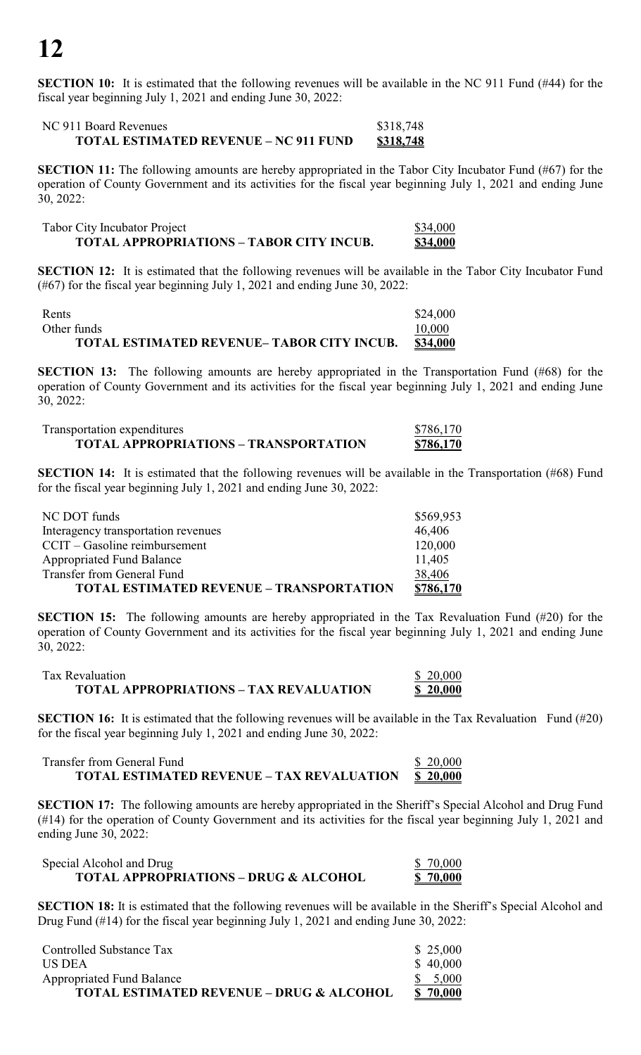**SECTION 10:** It is estimated that the following revenues will be available in the NC 911 Fund (#44) for the fiscal year beginning July 1, 2021 and ending June 30, 2022:

#### NC 911 Board Revenues \$318,748 **TOTAL ESTIMATED REVENUE – NC 911 FUND \$318,748**

**SECTION 11:** The following amounts are hereby appropriated in the Tabor City Incubator Fund (#67) for the operation of County Government and its activities for the fiscal year beginning July 1, 2021 and ending June 30, 2022:

| <b>Tabor City Incubator Project</b>             | \$34,000 |
|-------------------------------------------------|----------|
| <b>TOTAL APPROPRIATIONS - TABOR CITY INCUB.</b> | \$34,000 |

**SECTION 12:** It is estimated that the following revenues will be available in the Tabor City Incubator Fund (#67) for the fiscal year beginning July 1, 2021 and ending June 30, 2022:

| Rents                                            | \$24,000 |
|--------------------------------------------------|----------|
| Other funds                                      | 10,000   |
| <b>TOTAL ESTIMATED REVENUE-TABOR CITY INCUB.</b> | \$34,000 |

**SECTION 13:** The following amounts are hereby appropriated in the Transportation Fund (#68) for the operation of County Government and its activities for the fiscal year beginning July 1, 2021 and ending June 30, 2022:

| Transportation expenditures                  | \$786,170 |
|----------------------------------------------|-----------|
| <b>TOTAL APPROPRIATIONS - TRANSPORTATION</b> | \$786,170 |

**SECTION 14:** It is estimated that the following revenues will be available in the Transportation (#68) Fund for the fiscal year beginning July 1, 2021 and ending June 30, 2022:

| NC DOT funds                                    | \$569,953 |
|-------------------------------------------------|-----------|
| Interagency transportation revenues             | 46,406    |
| $CCT - Gasoline$ reimbursement                  | 120,000   |
| <b>Appropriated Fund Balance</b>                | 11,405    |
| Transfer from General Fund                      | 38,406    |
| <b>TOTAL ESTIMATED REVENUE - TRANSPORTATION</b> | \$786,170 |

**SECTION 15:** The following amounts are hereby appropriated in the Tax Revaluation Fund (#20) for the operation of County Government and its activities for the fiscal year beginning July 1, 2021 and ending June 30, 2022:

| Tax Revaluation                               | \$20,000 |
|-----------------------------------------------|----------|
| <b>TOTAL APPROPRIATIONS - TAX REVALUATION</b> | \$20,000 |

**SECTION 16:** It is estimated that the following revenues will be available in the Tax Revaluation Fund (#20) for the fiscal year beginning July 1, 2021 and ending June 30, 2022:

Transfer from General Fund  $\frac{1}{2}$  8 20,000 **TOTAL ESTIMATED REVENUE – TAX REVALUATION \$ 20,000**

**SECTION 17:** The following amounts are hereby appropriated in the Sheriff's Special Alcohol and Drug Fund (#14) for the operation of County Government and its activities for the fiscal year beginning July 1, 2021 and ending June 30, 2022:

| Special Alcohol and Drug                         | \$ 70,000       |
|--------------------------------------------------|-----------------|
| <b>TOTAL APPROPRIATIONS - DRUG &amp; ALCOHOL</b> | <u>\$70,000</u> |

**SECTION 18:** It is estimated that the following revenues will be available in the Sheriff's Special Alcohol and Drug Fund (#14) for the fiscal year beginning July 1, 2021 and ending June 30, 2022:

| Controlled Substance Tax                            | \$25,000 |
|-----------------------------------------------------|----------|
| US DEA                                              | \$40,000 |
| <b>Appropriated Fund Balance</b>                    | \$5,000  |
| <b>TOTAL ESTIMATED REVENUE - DRUG &amp; ALCOHOL</b> | \$70,000 |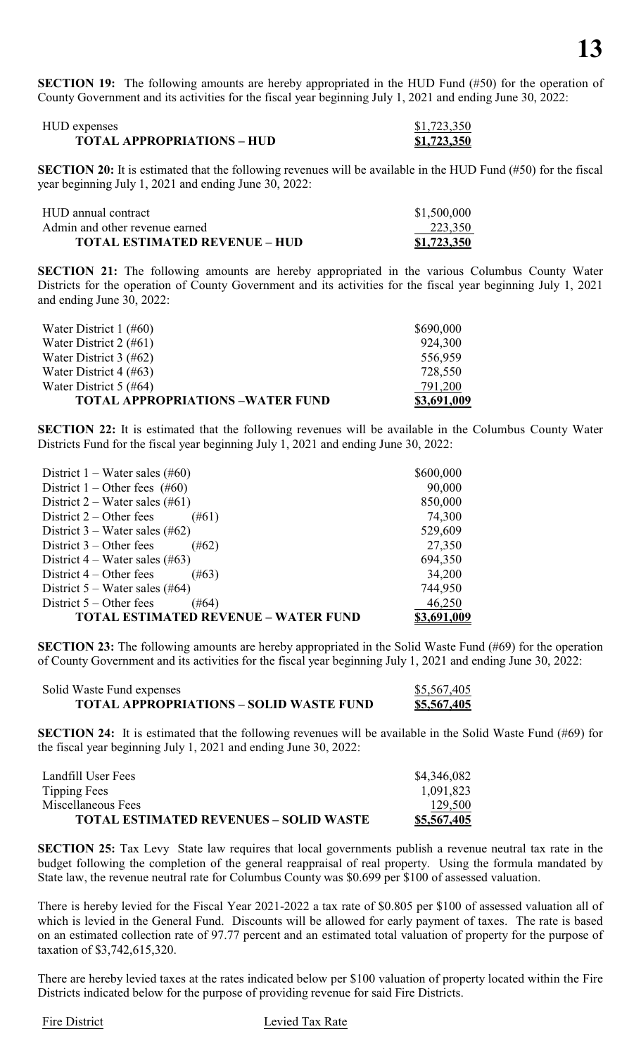**SECTION 19:** The following amounts are hereby appropriated in the HUD Fund (#50) for the operation of County Government and its activities for the fiscal year beginning July 1, 2021 and ending June 30, 2022:

| HUD expenses                      | \$1,723,350        |
|-----------------------------------|--------------------|
| <b>TOTAL APPROPRIATIONS – HUD</b> | <u>\$1,723,350</u> |

**SECTION 20:** It is estimated that the following revenues will be available in the HUD Fund (#50) for the fiscal year beginning July 1, 2021 and ending June 30, 2022:

| HUD annual contract                  | \$1,500,000 |
|--------------------------------------|-------------|
| Admin and other revenue earned       | 223,350     |
| <b>TOTAL ESTIMATED REVENUE – HUD</b> | \$1,723,350 |

**SECTION 21:** The following amounts are hereby appropriated in the various Columbus County Water Districts for the operation of County Government and its activities for the fiscal year beginning July 1, 2021 and ending June 30, 2022:

| Water District $1$ (#60)                | \$690,000   |
|-----------------------------------------|-------------|
| Water District $2$ (#61)                | 924,300     |
| Water District $3$ (#62)                | 556,959     |
| Water District $4$ (#63)                | 728,550     |
| Water District $5$ (#64)                | 791,200     |
| <b>TOTAL APPROPRIATIONS -WATER FUND</b> | \$3,691,009 |

**SECTION 22:** It is estimated that the following revenues will be available in the Columbus County Water Districts Fund for the fiscal year beginning July 1, 2021 and ending June 30, 2022:

| District $1 - Water$ sales (#60)            | \$600,000   |
|---------------------------------------------|-------------|
| District $1 -$ Other fees (#60)             | 90,000      |
| District $2$ – Water sales (#61)            | 850,000     |
| District $2$ – Other fees<br>$(\#61)$       | 74,300      |
| District $3$ – Water sales (#62)            | 529,609     |
| District $3$ – Other fees<br>$(\#62)$       | 27,350      |
| District $4$ – Water sales (#63)            | 694,350     |
| District $4 -$ Other fees<br>$(\#63)$       | 34,200      |
| District $5$ – Water sales (#64)            | 744,950     |
| District $5 -$ Other fees<br>$(\#64)$       | 46,250      |
| <b>TOTAL ESTIMATED REVENUE – WATER FUND</b> | \$3,691,009 |

**SECTION 23:** The following amounts are hereby appropriated in the Solid Waste Fund (#69) for the operation of County Government and its activities for the fiscal year beginning July 1, 2021 and ending June 30, 2022:

| Solid Waste Fund expenses                      | \$5,567,405        |
|------------------------------------------------|--------------------|
| <b>TOTAL APPROPRIATIONS – SOLID WASTE FUND</b> | <u>\$5,567,405</u> |

**SECTION 24:** It is estimated that the following revenues will be available in the Solid Waste Fund (#69) for the fiscal year beginning July 1, 2021 and ending June 30, 2022:

| Landfill User Fees                            | \$4,346,082 |
|-----------------------------------------------|-------------|
| Tipping Fees                                  | 1,091,823   |
| Miscellaneous Fees                            | 129,500     |
| <b>TOTAL ESTIMATED REVENUES - SOLID WASTE</b> | \$5,567,405 |

**SECTION 25:** Tax Levy State law requires that local governments publish a revenue neutral tax rate in the budget following the completion of the general reappraisal of real property. Using the formula mandated by State law, the revenue neutral rate for Columbus County was \$0.699 per \$100 of assessed valuation.

There is hereby levied for the Fiscal Year 2021-2022 a tax rate of \$0.805 per \$100 of assessed valuation all of which is levied in the General Fund. Discounts will be allowed for early payment of taxes. The rate is based on an estimated collection rate of 97.77 percent and an estimated total valuation of property for the purpose of taxation of \$3,742,615,320.

There are hereby levied taxes at the rates indicated below per \$100 valuation of property located within the Fire Districts indicated below for the purpose of providing revenue for said Fire Districts.

#### Fire District Levied Tax Rate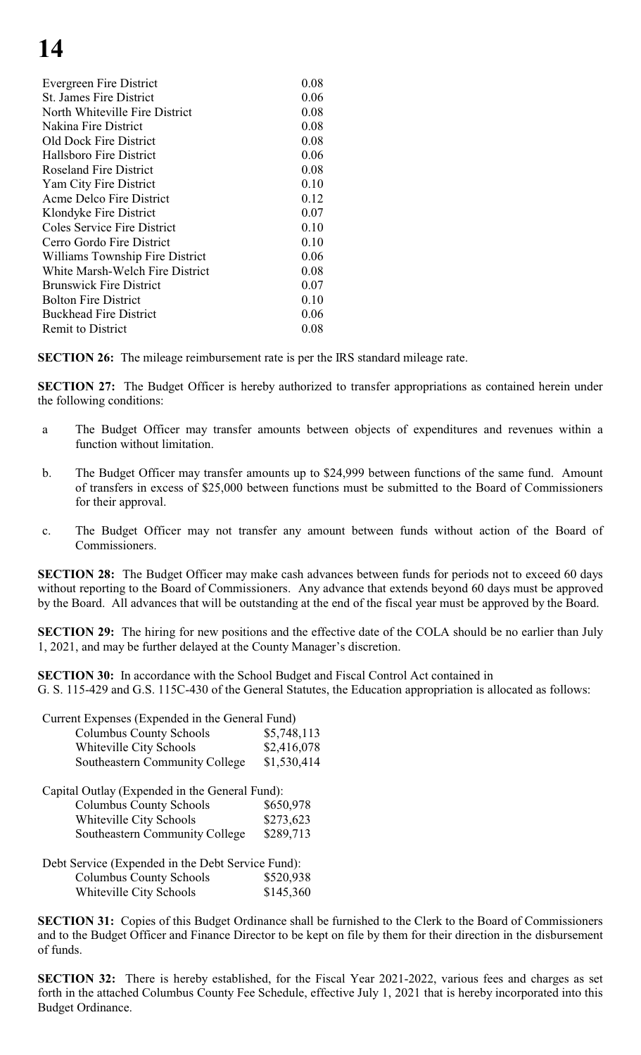## **14**

| Evergreen Fire District            | 0.08 |
|------------------------------------|------|
| <b>St. James Fire District</b>     | 0.06 |
| North Whiteville Fire District     | 0.08 |
| Nakina Fire District               | 0.08 |
| Old Dock Fire District             | 0.08 |
| Hallsboro Fire District            | 0.06 |
| <b>Roseland Fire District</b>      | 0.08 |
| Yam City Fire District             | 0.10 |
| Acme Delco Fire District           | 0.12 |
| Klondyke Fire District             | 0.07 |
| <b>Coles Service Fire District</b> | 0.10 |
| Cerro Gordo Fire District          | 0.10 |
| Williams Township Fire District    | 0.06 |
| White Marsh-Welch Fire District    | 0.08 |
| <b>Brunswick Fire District</b>     | 0.07 |
| <b>Bolton Fire District</b>        | 0.10 |
| <b>Buckhead Fire District</b>      | 0.06 |
| <b>Remit to District</b>           | 0.08 |
|                                    |      |

**SECTION 26:** The mileage reimbursement rate is per the IRS standard mileage rate.

**SECTION 27:** The Budget Officer is hereby authorized to transfer appropriations as contained herein under the following conditions:

- a The Budget Officer may transfer amounts between objects of expenditures and revenues within a function without limitation.
- b. The Budget Officer may transfer amounts up to \$24,999 between functions of the same fund. Amount of transfers in excess of \$25,000 between functions must be submitted to the Board of Commissioners for their approval.
- c. The Budget Officer may not transfer any amount between funds without action of the Board of Commissioners.

**SECTION 28:** The Budget Officer may make cash advances between funds for periods not to exceed 60 days without reporting to the Board of Commissioners. Any advance that extends beyond 60 days must be approved by the Board. All advances that will be outstanding at the end of the fiscal year must be approved by the Board.

**SECTION 29:** The hiring for new positions and the effective date of the COLA should be no earlier than July 1, 2021, and may be further delayed at the County Manager's discretion.

**SECTION 30:** In accordance with the School Budget and Fiscal Control Act contained in G. S. 115-429 and G.S. 115C-430 of the General Statutes, the Education appropriation is allocated as follows:

| Current Expenses (Expended in the General Fund) |             |  |  |  |
|-------------------------------------------------|-------------|--|--|--|
| <b>Columbus County Schools</b>                  | \$5,748,113 |  |  |  |
| Whiteville City Schools                         | \$2,416,078 |  |  |  |
| Southeastern Community College                  | \$1,530,414 |  |  |  |
|                                                 |             |  |  |  |

| Capital Outlay (Expended in the General Fund): |           |  |  |
|------------------------------------------------|-----------|--|--|
| <b>Columbus County Schools</b>                 | \$650,978 |  |  |
| Whiteville City Schools                        | \$273,623 |  |  |
| Southeastern Community College                 | \$289,713 |  |  |

Debt Service (Expended in the Debt Service Fund): Columbus County Schools \$520,938 Whiteville City Schools \$145,360

**SECTION 31:** Copies of this Budget Ordinance shall be furnished to the Clerk to the Board of Commissioners and to the Budget Officer and Finance Director to be kept on file by them for their direction in the disbursement of funds.

**SECTION 32:** There is hereby established, for the Fiscal Year 2021-2022, various fees and charges as set forth in the attached Columbus County Fee Schedule, effective July 1, 2021 that is hereby incorporated into this Budget Ordinance.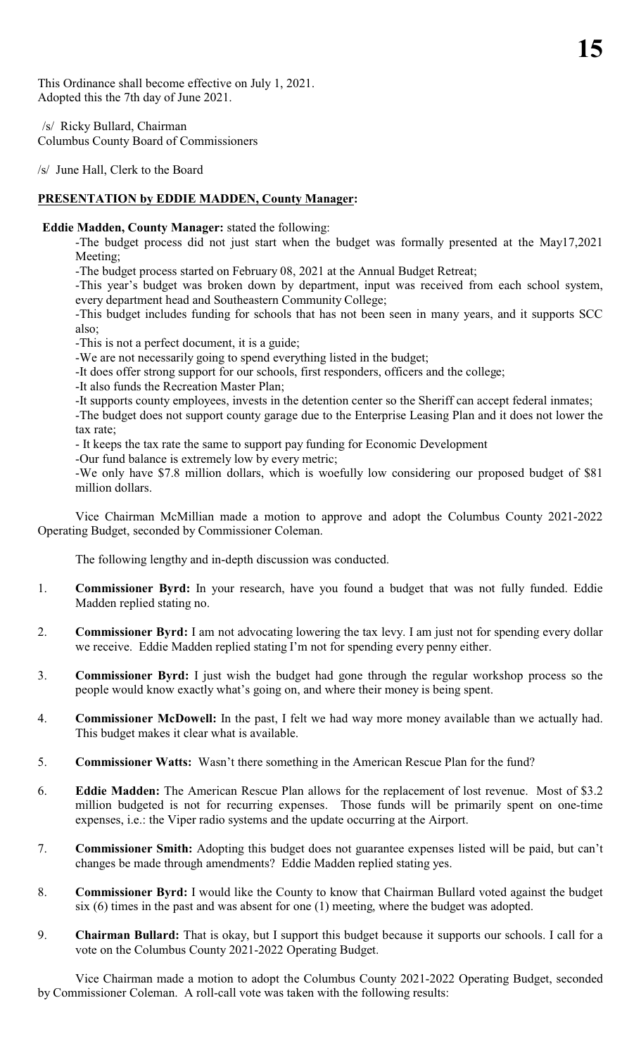This Ordinance shall become effective on July 1, 2021. Adopted this the 7th day of June 2021.

/s/ Ricky Bullard, Chairman Columbus County Board of Commissioners

/s/ June Hall, Clerk to the Board

## **PRESENTATION by EDDIE MADDEN, County Manager:**

#### **Eddie Madden, County Manager:** stated the following:

-The budget process did not just start when the budget was formally presented at the May17,2021 Meeting;

-The budget process started on February 08, 2021 at the Annual Budget Retreat;

-This year's budget was broken down by department, input was received from each school system, every department head and Southeastern Community College;

-This budget includes funding for schools that has not been seen in many years, and it supports SCC also;

-This is not a perfect document, it is a guide;

-We are not necessarily going to spend everything listed in the budget;

-It does offer strong support for our schools, first responders, officers and the college;

-It also funds the Recreation Master Plan;

-It supports county employees, invests in the detention center so the Sheriff can accept federal inmates;

-The budget does not support county garage due to the Enterprise Leasing Plan and it does not lower the tax rate;

- It keeps the tax rate the same to support pay funding for Economic Development

-Our fund balance is extremely low by every metric;

-We only have \$7.8 million dollars, which is woefully low considering our proposed budget of \$81 million dollars.

Vice Chairman McMillian made a motion to approve and adopt the Columbus County 2021-2022 Operating Budget, seconded by Commissioner Coleman.

The following lengthy and in-depth discussion was conducted.

- 1. **Commissioner Byrd:** In your research, have you found a budget that was not fully funded. Eddie Madden replied stating no.
- 2. **Commissioner Byrd:** I am not advocating lowering the tax levy. I am just not for spending every dollar we receive. Eddie Madden replied stating I'm not for spending every penny either.
- 3. **Commissioner Byrd:** I just wish the budget had gone through the regular workshop process so the people would know exactly what's going on, and where their money is being spent.
- 4. **Commissioner McDowell:** In the past, I felt we had way more money available than we actually had. This budget makes it clear what is available.
- 5. **Commissioner Watts:** Wasn't there something in the American Rescue Plan for the fund?
- 6. **Eddie Madden:** The American Rescue Plan allows for the replacement of lost revenue. Most of \$3.2 million budgeted is not for recurring expenses. Those funds will be primarily spent on one-time expenses, i.e.: the Viper radio systems and the update occurring at the Airport.
- 7. **Commissioner Smith:** Adopting this budget does not guarantee expenses listed will be paid, but can't changes be made through amendments? Eddie Madden replied stating yes.
- 8. **Commissioner Byrd:** I would like the County to know that Chairman Bullard voted against the budget six (6) times in the past and was absent for one (1) meeting, where the budget was adopted.
- 9. **Chairman Bullard:** That is okay, but I support this budget because it supports our schools. I call for a vote on the Columbus County 2021-2022 Operating Budget.

Vice Chairman made a motion to adopt the Columbus County 2021-2022 Operating Budget, seconded by Commissioner Coleman. A roll-call vote was taken with the following results: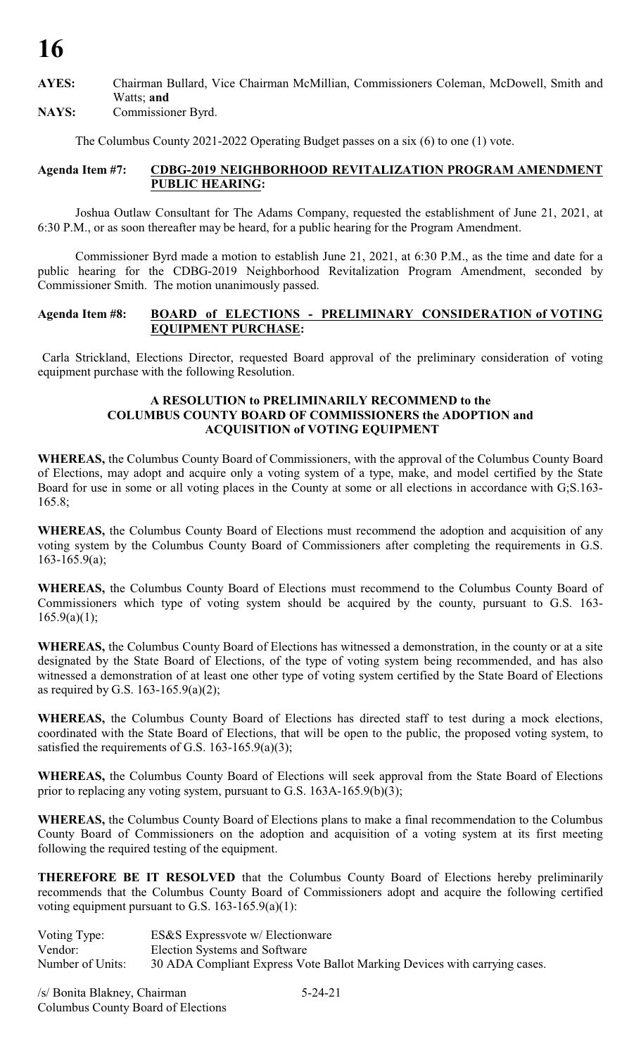**AYES:** Chairman Bullard, Vice Chairman McMillian, Commissioners Coleman, McDowell, Smith and Watts; **and**

**NAYS:** Commissioner Byrd.

The Columbus County 2021-2022 Operating Budget passes on a six (6) to one (1) vote.

#### **Agenda Item #7: CDBG-2019 NEIGHBORHOOD REVITALIZATION PROGRAM AMENDMENT PUBLIC HEARING:**

Joshua Outlaw Consultant for The Adams Company, requested the establishment of June 21, 2021, at 6:30 P.M., or as soon thereafter may be heard, for a public hearing for the Program Amendment.

Commissioner Byrd made a motion to establish June 21, 2021, at 6:30 P.M., as the time and date for a public hearing for the CDBG-2019 Neighborhood Revitalization Program Amendment, seconded by Commissioner Smith. The motion unanimously passed.

#### **Agenda Item #8: BOARD of ELECTIONS - PRELIMINARY CONSIDERATION of VOTING EQUIPMENT PURCHASE:**

Carla Strickland, Elections Director, requested Board approval of the preliminary consideration of voting equipment purchase with the following Resolution.

#### **A RESOLUTION to PRELIMINARILY RECOMMEND to the COLUMBUS COUNTY BOARD OF COMMISSIONERS the ADOPTION and ACQUISITION of VOTING EQUIPMENT**

**WHEREAS,** the Columbus County Board of Commissioners, with the approval of the Columbus County Board of Elections, may adopt and acquire only a voting system of a type, make, and model certified by the State Board for use in some or all voting places in the County at some or all elections in accordance with G;S.163- 165.8;

**WHEREAS,** the Columbus County Board of Elections must recommend the adoption and acquisition of any voting system by the Columbus County Board of Commissioners after completing the requirements in G.S.  $163-165.9(a);$ 

**WHEREAS,** the Columbus County Board of Elections must recommend to the Columbus County Board of Commissioners which type of voting system should be acquired by the county, pursuant to G.S. 163-  $165.9(a)(1);$ 

**WHEREAS,** the Columbus County Board of Elections has witnessed a demonstration, in the county or at a site designated by the State Board of Elections, of the type of voting system being recommended, and has also witnessed a demonstration of at least one other type of voting system certified by the State Board of Elections as required by G.S. 163-165.9(a)(2);

**WHEREAS,** the Columbus County Board of Elections has directed staff to test during a mock elections, coordinated with the State Board of Elections, that will be open to the public, the proposed voting system, to satisfied the requirements of G.S. 163-165.9(a)(3);

**WHEREAS,** the Columbus County Board of Elections will seek approval from the State Board of Elections prior to replacing any voting system, pursuant to G.S. 163A-165.9(b)(3);

**WHEREAS,** the Columbus County Board of Elections plans to make a final recommendation to the Columbus County Board of Commissioners on the adoption and acquisition of a voting system at its first meeting following the required testing of the equipment.

**THEREFORE BE IT RESOLVED** that the Columbus County Board of Elections hereby preliminarily recommends that the Columbus County Board of Commissioners adopt and acquire the following certified voting equipment pursuant to G.S.  $163-165.9(a)(1)$ :

Voting Type: ES&S Expressvote w/ Electionware Vendor: Election Systems and Software<br>Number of Units: 30 ADA Compliant Express Vo 30 ADA Compliant Express Vote Ballot Marking Devices with carrying cases.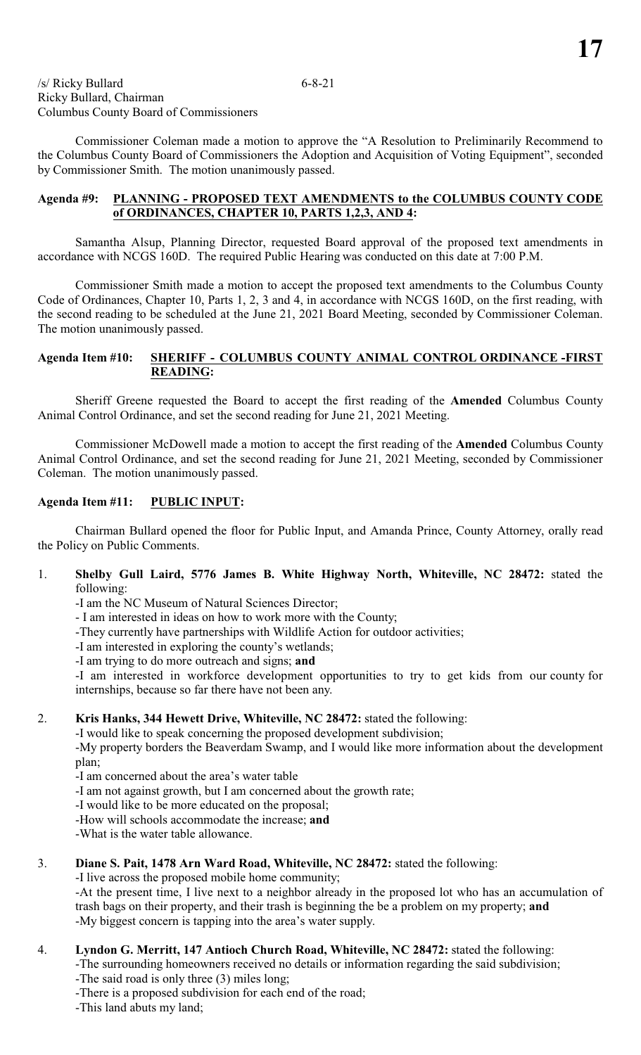Commissioner Coleman made a motion to approve the "A Resolution to Preliminarily Recommend to the Columbus County Board of Commissioners the Adoption and Acquisition of Voting Equipment", seconded by Commissioner Smith. The motion unanimously passed.

#### **Agenda #9: PLANNING - PROPOSED TEXT AMENDMENTS to the COLUMBUS COUNTY CODE of ORDINANCES, CHAPTER 10, PARTS 1,2,3, AND 4:**

Samantha Alsup, Planning Director, requested Board approval of the proposed text amendments in accordance with NCGS 160D. The required Public Hearing was conducted on this date at 7:00 P.M.

Commissioner Smith made a motion to accept the proposed text amendments to the Columbus County Code of Ordinances, Chapter 10, Parts 1, 2, 3 and 4, in accordance with NCGS 160D, on the first reading, with the second reading to be scheduled at the June 21, 2021 Board Meeting, seconded by Commissioner Coleman. The motion unanimously passed.

#### **Agenda Item #10: SHERIFF - COLUMBUS COUNTY ANIMAL CONTROL ORDINANCE -FIRST READING:**

Sheriff Greene requested the Board to accept the first reading of the **Amended** Columbus County Animal Control Ordinance, and set the second reading for June 21, 2021 Meeting.

Commissioner McDowell made a motion to accept the first reading of the **Amended** Columbus County Animal Control Ordinance, and set the second reading for June 21, 2021 Meeting, seconded by Commissioner Coleman. The motion unanimously passed.

#### **Agenda Item #11: PUBLIC INPUT:**

Chairman Bullard opened the floor for Public Input, and Amanda Prince, County Attorney, orally read the Policy on Public Comments.

1. **Shelby Gull Laird, 5776 James B. White Highway North, Whiteville, NC 28472:** stated the following:

-I am the NC Museum of Natural Sciences Director;

- I am interested in ideas on how to work more with the County;
- -They currently have partnerships with Wildlife Action for outdoor activities;
- -I am interested in exploring the county's wetlands;
- -I am trying to do more outreach and signs; **and**

 -I am interested in workforce development opportunities to try to get kids from our county for internships, because so far there have not been any.

#### 2. **Kris Hanks, 344 Hewett Drive, Whiteville, NC 28472:** stated the following:

-I would like to speak concerning the proposed development subdivision;

-My property borders the Beaverdam Swamp, and I would like more information about the development plan;

-I am concerned about the area's water table

-I am not against growth, but I am concerned about the growth rate;

-I would like to be more educated on the proposal;

-How will schools accommodate the increase; **and**

-What is the water table allowance.

3. **Diane S. Pait, 1478 Arn Ward Road, Whiteville, NC 28472:** stated the following:

-I live across the proposed mobile home community;

-At the present time, I live next to a neighbor already in the proposed lot who has an accumulation of trash bags on their property, and their trash is beginning the be a problem on my property; **and** -My biggest concern is tapping into the area's water supply.

4. **Lyndon G. Merritt, 147 Antioch Church Road, Whiteville, NC 28472:** stated the following:

-The surrounding homeowners received no details or information regarding the said subdivision; -The said road is only three (3) miles long;

- -There is a proposed subdivision for each end of the road;
- -This land abuts my land;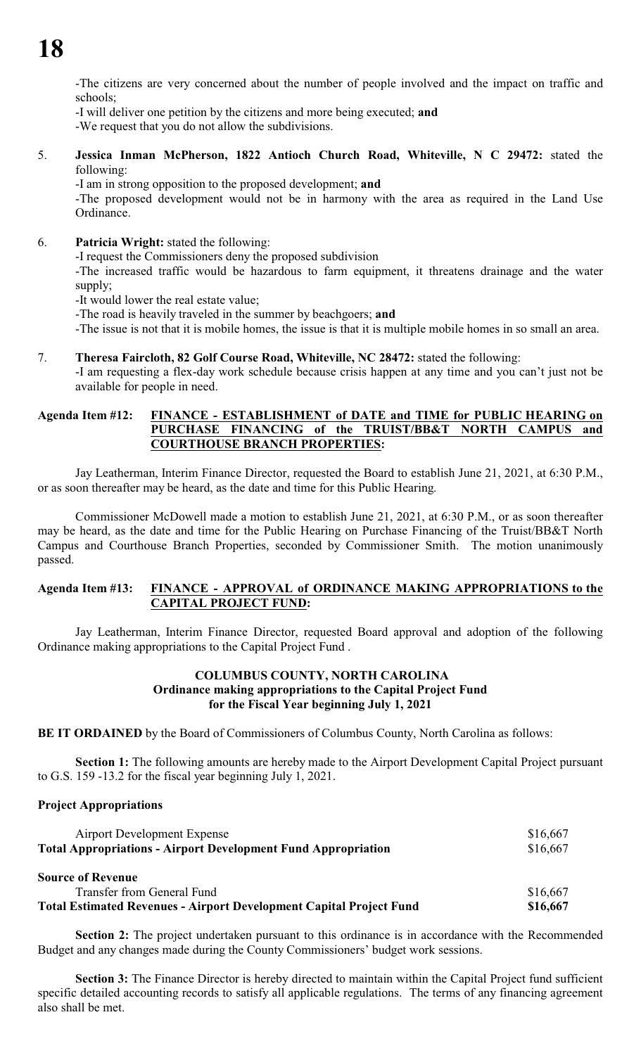-The citizens are very concerned about the number of people involved and the impact on traffic and schools;

-I will deliver one petition by the citizens and more being executed; **and**

-We request that you do not allow the subdivisions.

5. **Jessica Inman McPherson, 1822 Antioch Church Road, Whiteville, N C 29472:** stated the following:

-I am in strong opposition to the proposed development; **and**

-The proposed development would not be in harmony with the area as required in the Land Use Ordinance.

6. **Patricia Wright:** stated the following:

-I request the Commissioners deny the proposed subdivision

-The increased traffic would be hazardous to farm equipment, it threatens drainage and the water supply;

-It would lower the real estate value;

-The road is heavily traveled in the summer by beachgoers; **and**

-The issue is not that it is mobile homes, the issue is that it is multiple mobile homes in so small an area.

#### 7. **Theresa Faircloth, 82 Golf Course Road, Whiteville, NC 28472:** stated the following:

-I am requesting a flex-day work schedule because crisis happen at any time and you can't just not be available for people in need.

#### **Agenda Item #12: FINANCE - ESTABLISHMENT of DATE and TIME for PUBLIC HEARING on PURCHASE FINANCING of the TRUIST/BB&T NORTH CAMPUS and COURTHOUSE BRANCH PROPERTIES:**

Jay Leatherman, Interim Finance Director, requested the Board to establish June 21, 2021, at 6:30 P.M., or as soon thereafter may be heard, as the date and time for this Public Hearing.

Commissioner McDowell made a motion to establish June 21, 2021, at 6:30 P.M., or as soon thereafter may be heard, as the date and time for the Public Hearing on Purchase Financing of the Truist/BB&T North Campus and Courthouse Branch Properties, seconded by Commissioner Smith. The motion unanimously passed.

#### **Agenda Item #13: FINANCE - APPROVAL of ORDINANCE MAKING APPROPRIATIONS to the CAPITAL PROJECT FUND:**

Jay Leatherman, Interim Finance Director, requested Board approval and adoption of the following Ordinance making appropriations to the Capital Project Fund .

#### **COLUMBUS COUNTY, NORTH CAROLINA Ordinance making appropriations to the Capital Project Fund for the Fiscal Year beginning July 1, 2021**

**BE IT ORDAINED** by the Board of Commissioners of Columbus County, North Carolina as follows:

**Section 1:** The following amounts are hereby made to the Airport Development Capital Project pursuant to G.S. 159 -13.2 for the fiscal year beginning July 1, 2021.

#### **Project Appropriations**

| <b>Airport Development Expense</b>                                         | \$16,667 |  |
|----------------------------------------------------------------------------|----------|--|
| <b>Total Appropriations - Airport Development Fund Appropriation</b>       | \$16,667 |  |
| <b>Source of Revenue</b>                                                   |          |  |
| Transfer from General Fund                                                 | \$16,667 |  |
| <b>Total Estimated Revenues - Airport Development Capital Project Fund</b> | \$16,667 |  |

**Section 2:** The project undertaken pursuant to this ordinance is in accordance with the Recommended Budget and any changes made during the County Commissioners' budget work sessions.

**Section 3:** The Finance Director is hereby directed to maintain within the Capital Project fund sufficient specific detailed accounting records to satisfy all applicable regulations. The terms of any financing agreement also shall be met.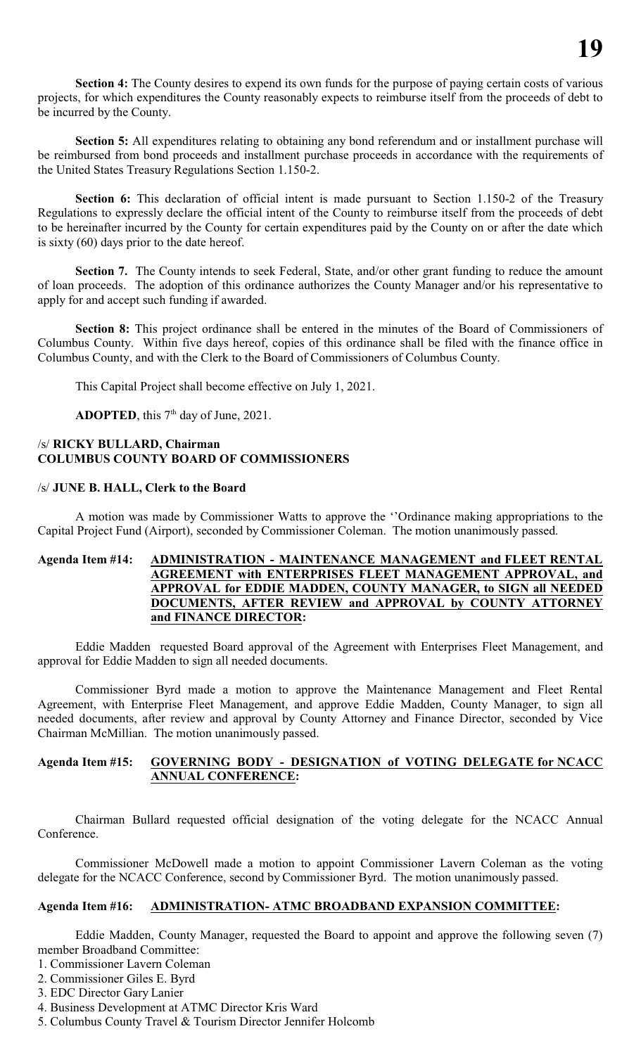Section 4: The County desires to expend its own funds for the purpose of paying certain costs of various projects, for which expenditures the County reasonably expects to reimburse itself from the proceeds of debt to be incurred by the County.

**Section 5:** All expenditures relating to obtaining any bond referendum and or installment purchase will be reimbursed from bond proceeds and installment purchase proceeds in accordance with the requirements of the United States Treasury Regulations Section 1.150-2.

Section 6: This declaration of official intent is made pursuant to Section 1.150-2 of the Treasury Regulations to expressly declare the official intent of the County to reimburse itself from the proceeds of debt to be hereinafter incurred by the County for certain expenditures paid by the County on or after the date which is sixty (60) days prior to the date hereof.

**Section 7.** The County intends to seek Federal, State, and/or other grant funding to reduce the amount of loan proceeds. The adoption of this ordinance authorizes the County Manager and/or his representative to apply for and accept such funding if awarded.

**Section 8:** This project ordinance shall be entered in the minutes of the Board of Commissioners of Columbus County. Within five days hereof, copies of this ordinance shall be filed with the finance office in Columbus County, and with the Clerk to the Board of Commissioners of Columbus County.

This Capital Project shall become effective on July 1, 2021.

**ADOPTED**, this  $7<sup>th</sup>$  day of June, 2021.

#### /s/ **RICKY BULLARD, Chairman COLUMBUS COUNTY BOARD OF COMMISSIONERS**

#### /s/ **JUNE B. HALL, Clerk to the Board**

A motion was made by Commissioner Watts to approve the ''Ordinance making appropriations to the Capital Project Fund (Airport), seconded by Commissioner Coleman. The motion unanimously passed.

#### **Agenda Item #14: ADMINISTRATION - MAINTENANCE MANAGEMENT and FLEET RENTAL AGREEMENT with ENTERPRISES FLEET MANAGEMENT APPROVAL, and APPROVAL for EDDIE MADDEN, COUNTY MANAGER, to SIGN all NEEDED DOCUMENTS, AFTER REVIEW and APPROVAL by COUNTY ATTORNEY and FINANCE DIRECTOR:**

Eddie Madden requested Board approval of the Agreement with Enterprises Fleet Management, and approval for Eddie Madden to sign all needed documents.

Commissioner Byrd made a motion to approve the Maintenance Management and Fleet Rental Agreement, with Enterprise Fleet Management, and approve Eddie Madden, County Manager, to sign all needed documents, after review and approval by County Attorney and Finance Director, seconded by Vice Chairman McMillian. The motion unanimously passed.

#### **Agenda Item #15: GOVERNING BODY - DESIGNATION of VOTING DELEGATE for NCACC ANNUAL CONFERENCE:**

Chairman Bullard requested official designation of the voting delegate for the NCACC Annual Conference.

Commissioner McDowell made a motion to appoint Commissioner Lavern Coleman as the voting delegate for the NCACC Conference, second by Commissioner Byrd. The motion unanimously passed.

### **Agenda Item #16: ADMINISTRATION- ATMC BROADBAND EXPANSION COMMITTEE:**

Eddie Madden, County Manager, requested the Board to appoint and approve the following seven (7) member Broadband Committee:

- 1. Commissioner Lavern Coleman
- 2. Commissioner Giles E. Byrd
- 3. EDC Director Gary Lanier
- 4. Business Development at ATMC Director Kris Ward
- 5. Columbus County Travel & Tourism Director Jennifer Holcomb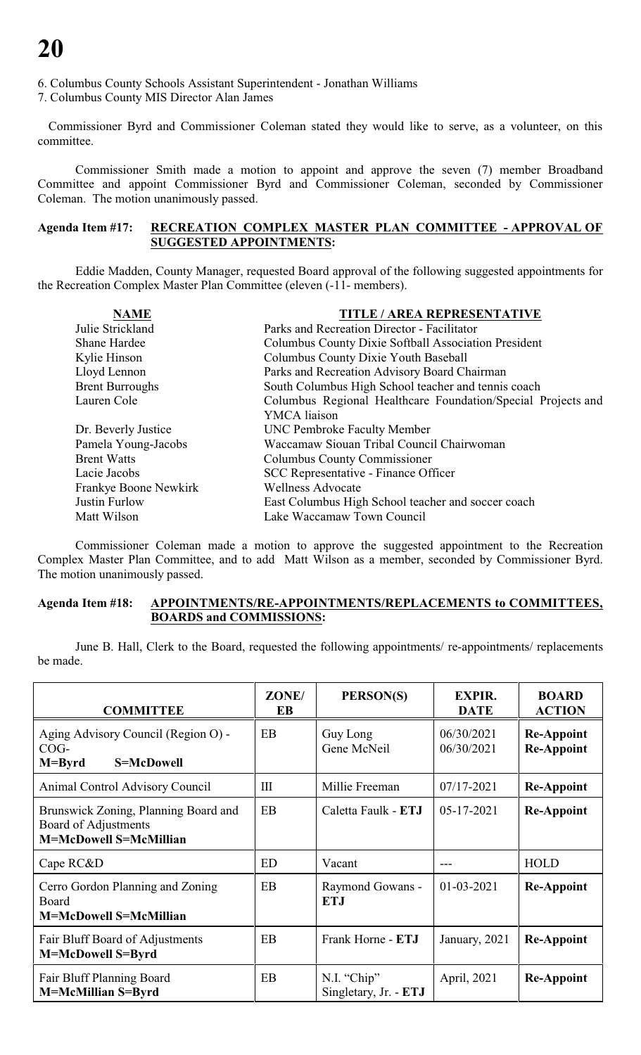6. Columbus County Schools Assistant Superintendent - Jonathan Williams

7. Columbus County MIS Director Alan James

Commissioner Byrd and Commissioner Coleman stated they would like to serve, as a volunteer, on this committee.

Commissioner Smith made a motion to appoint and approve the seven (7) member Broadband Committee and appoint Commissioner Byrd and Commissioner Coleman, seconded by Commissioner Coleman. The motion unanimously passed.

#### **Agenda Item #17: RECREATION COMPLEX MASTER PLAN COMMITTEE - APPROVAL OF SUGGESTED APPOINTMENTS:**

Eddie Madden, County Manager, requested Board approval of the following suggested appointments for the Recreation Complex Master Plan Committee (eleven (-11- members).

| <b>NAME</b>            | <b>TITLE / AREA REPRESENTATIVE</b>                           |  |  |
|------------------------|--------------------------------------------------------------|--|--|
| Julie Strickland       | Parks and Recreation Director - Facilitator                  |  |  |
| <b>Shane Hardee</b>    | <b>Columbus County Dixie Softball Association President</b>  |  |  |
| Kylie Hinson           | <b>Columbus County Dixie Youth Baseball</b>                  |  |  |
| Lloyd Lennon           | Parks and Recreation Advisory Board Chairman                 |  |  |
| <b>Brent Burroughs</b> | South Columbus High School teacher and tennis coach          |  |  |
| Lauren Cole            | Columbus Regional Healthcare Foundation/Special Projects and |  |  |
|                        | YMCA liaison                                                 |  |  |
| Dr. Beverly Justice    | <b>UNC Pembroke Faculty Member</b>                           |  |  |
| Pamela Young-Jacobs    | Waccamaw Siouan Tribal Council Chairwoman                    |  |  |
| <b>Brent Watts</b>     | Columbus County Commissioner                                 |  |  |
| Lacie Jacobs           | <b>SCC Representative - Finance Officer</b>                  |  |  |
| Frankye Boone Newkirk  | <b>Wellness Advocate</b>                                     |  |  |
| Justin Furlow          | East Columbus High School teacher and soccer coach           |  |  |
| Matt Wilson            | Lake Waccamaw Town Council                                   |  |  |

Commissioner Coleman made a motion to approve the suggested appointment to the Recreation Complex Master Plan Committee, and to add Matt Wilson as a member, seconded by Commissioner Byrd. The motion unanimously passed.

#### **Agenda Item #18: APPOINTMENTS/RE-APPOINTMENTS/REPLACEMENTS to COMMITTEES, BOARDS and COMMISSIONS:**

June B. Hall, Clerk to the Board, requested the following appointments/ re-appointments/ replacements be made.

| <b>COMMITTEE</b>                                                                              | ZONE/<br>EB | PERSON(S)                            | <b>EXPIR.</b><br><b>DATE</b> | <b>BOARD</b><br><b>ACTION</b>          |
|-----------------------------------------------------------------------------------------------|-------------|--------------------------------------|------------------------------|----------------------------------------|
| Aging Advisory Council (Region O) -<br>$COG-$<br>S=McDowell<br>$M = Byrd$                     | EB          | Guy Long<br>Gene McNeil              | 06/30/2021<br>06/30/2021     | <b>Re-Appoint</b><br><b>Re-Appoint</b> |
| <b>Animal Control Advisory Council</b>                                                        | Ш           | Millie Freeman                       | 07/17-2021                   | <b>Re-Appoint</b>                      |
| Brunswick Zoning, Planning Board and<br>Board of Adjustments<br><b>M=McDowell S=McMillian</b> | <b>EB</b>   | Caletta Faulk - ETJ                  | $05 - 17 - 2021$             | <b>Re-Appoint</b>                      |
| Cape RC&D                                                                                     | ED          | Vacant                               |                              | <b>HOLD</b>                            |
| Cerro Gordon Planning and Zoning<br>Board<br><b>M=McDowell S=McMillian</b>                    | EB          | Raymond Gowans -<br><b>ETJ</b>       | $01 - 03 - 2021$             | <b>Re-Appoint</b>                      |
| Fair Bluff Board of Adjustments<br>M=McDowell S=Byrd                                          | EB          | Frank Horne - ETJ                    | January, 2021                | <b>Re-Appoint</b>                      |
| Fair Bluff Planning Board<br><b>M=McMillian S=Byrd</b>                                        | EB          | N.I. "Chip"<br>Singletary, Jr. - ETJ | April, 2021                  | <b>Re-Appoint</b>                      |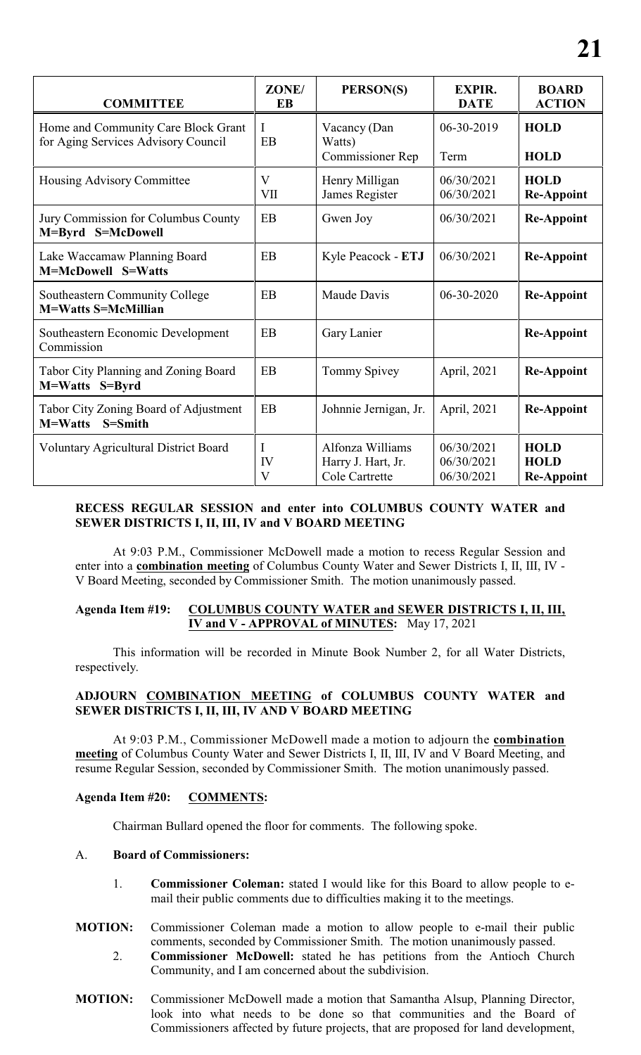| <b>COMMITTEE</b>                                                           | ZONE/<br>EB         | PERSON(S)                                         | <b>EXPIR.</b><br><b>DATE</b> | <b>BOARD</b><br><b>ACTION</b>    |
|----------------------------------------------------------------------------|---------------------|---------------------------------------------------|------------------------------|----------------------------------|
| Home and Community Care Block Grant<br>for Aging Services Advisory Council | I<br>EB             | Vacancy (Dan<br>Watts)<br><b>Commissioner Rep</b> | 06-30-2019<br>Term           | <b>HOLD</b><br><b>HOLD</b>       |
| <b>Housing Advisory Committee</b>                                          | $\mathbf{V}$<br>VII | Henry Milligan<br>James Register                  | 06/30/2021<br>06/30/2021     | <b>HOLD</b><br><b>Re-Appoint</b> |
| Jury Commission for Columbus County<br>M=Byrd S=McDowell                   | EB                  | Gwen Joy                                          | 06/30/2021                   | <b>Re-Appoint</b>                |
| Lake Waccamaw Planning Board<br>M=McDowell S=Watts                         | EB                  | Kyle Peacock - ETJ                                | 06/30/2021                   | <b>Re-Appoint</b>                |
| Southeastern Community College<br><b>M=Watts S=McMillian</b>               | EB                  | Maude Davis                                       | 06-30-2020                   | <b>Re-Appoint</b>                |
| Southeastern Economic Development<br>Commission                            | EB                  | Gary Lanier                                       |                              | <b>Re-Appoint</b>                |
| <b>Tabor City Planning and Zoning Board</b><br>M=Watts S=Byrd              | EB                  | Tommy Spivey                                      | April, 2021                  | <b>Re-Appoint</b>                |
| Tabor City Zoning Board of Adjustment<br>M=Watts<br>S=Smith                | EB                  | Johnnie Jernigan, Jr.                             | April, 2021                  | <b>Re-Appoint</b>                |
| <b>Voluntary Agricultural District Board</b>                               |                     | Alfonza Williams                                  | 06/30/2021                   | <b>HOLD</b>                      |

#### **RECESS REGULAR SESSION and enter into COLUMBUS COUNTY WATER and SEWER DISTRICTS I, II, III, IV and V BOARD MEETING**

Harry J. Hart, Jr. Cole Cartrette

06/30/2021 06/30/2021 **HOLD Re-Appoint**

IV V

At 9:03 P.M., Commissioner McDowell made a motion to recess Regular Session and enter into a **combination meeting** of Columbus County Water and Sewer Districts I, II, III, IV - V Board Meeting, seconded by Commissioner Smith. The motion unanimously passed.

#### **Agenda Item #19: COLUMBUS COUNTY WATER and SEWER DISTRICTS I, II, III, IV and V - APPROVAL of MINUTES:** May 17, 2021

This information will be recorded in Minute Book Number 2, for all Water Districts, respectively.

#### **ADJOURN COMBINATION MEETING of COLUMBUS COUNTY WATER and SEWER DISTRICTS I, II, III, IV AND V BOARD MEETING**

 At 9:03 P.M., Commissioner McDowell made a motion to adjourn the **combination meeting** of Columbus County Water and Sewer Districts I, II, III, IV and V Board Meeting, and resume Regular Session, seconded by Commissioner Smith. The motion unanimously passed.

#### **Agenda Item #20: COMMENTS:**

Chairman Bullard opened the floor for comments. The following spoke.

#### A. **Board of Commissioners:**

- 1. **Commissioner Coleman:** stated I would like for this Board to allow people to email their public comments due to difficulties making it to the meetings.
- **MOTION:** Commissioner Coleman made a motion to allow people to e-mail their public comments, seconded by Commissioner Smith. The motion unanimously passed.
	- 2. **Commissioner McDowell:** stated he has petitions from the Antioch Church Community, and I am concerned about the subdivision.
- **MOTION:** Commissioner McDowell made a motion that Samantha Alsup, Planning Director, look into what needs to be done so that communities and the Board of Commissioners affected by future projects, that are proposed for land development,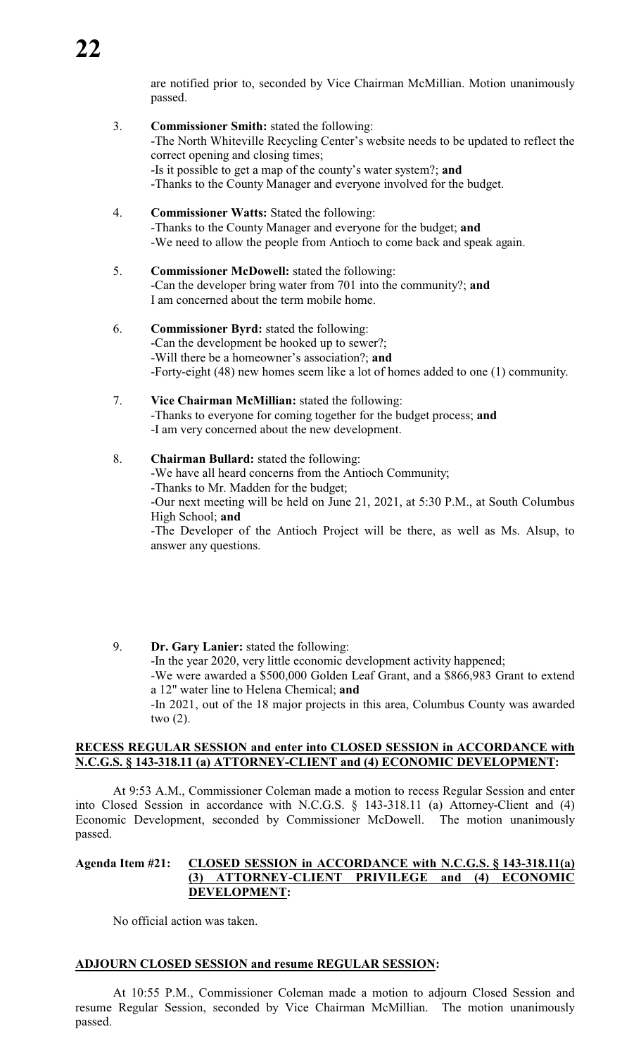are notified prior to, seconded by Vice Chairman McMillian. Motion unanimously passed.

- 3. **Commissioner Smith:** stated the following: -The North Whiteville Recycling Center's website needs to be updated to reflect the correct opening and closing times; -Is it possible to get a map of the county's water system?; **and** -Thanks to the County Manager and everyone involved for the budget.
- 4. **Commissioner Watts:** Stated the following: -Thanks to the County Manager and everyone for the budget; **and** -We need to allow the people from Antioch to come back and speak again.
- 5. **Commissioner McDowell:** stated the following: -Can the developer bring water from 701 into the community?; **and** I am concerned about the term mobile home.
- 6. **Commissioner Byrd:** stated the following: -Can the development be hooked up to sewer?; -Will there be a homeowner's association?; **and** -Forty-eight (48) new homes seem like a lot of homes added to one (1) community.
- 7. **Vice Chairman McMillian:** stated the following: -Thanks to everyone for coming together for the budget process; **and** -I am very concerned about the new development.
- 8. **Chairman Bullard:** stated the following: -We have all heard concerns from the Antioch Community; -Thanks to Mr. Madden for the budget; -Our next meeting will be held on June 21, 2021, at 5:30 P.M., at South Columbus High School; **and** -The Developer of the Antioch Project will be there, as well as Ms. Alsup, to answer any questions.
- 9. **Dr. Gary Lanier:** stated the following: -In the year 2020, very little economic development activity happened; -We were awarded a \$500,000 Golden Leaf Grant, and a \$866,983 Grant to extend a 12" water line to Helena Chemical; **and** -In 2021, out of the 18 major projects in this area, Columbus County was awarded two (2).

#### **RECESS REGULAR SESSION and enter into CLOSED SESSION in ACCORDANCE with N.C.G.S. § 143-318.11 (a) ATTORNEY-CLIENT and (4) ECONOMIC DEVELOPMENT:**

At 9:53 A.M., Commissioner Coleman made a motion to recess Regular Session and enter into Closed Session in accordance with N.C.G.S. § 143-318.11 (a) Attorney-Client and (4) Economic Development, seconded by Commissioner McDowell. The motion unanimously passed.

#### **Agenda Item #21: CLOSED SESSION in ACCORDANCE with N.C.G.S. § 143-318.11(a) (3) ATTORNEY-CLIENT PRIVILEGE and (4) ECONOMIC DEVELOPMENT:**

No official action was taken.

### **ADJOURN CLOSED SESSION and resume REGULAR SESSION:**

At 10:55 P.M., Commissioner Coleman made a motion to adjourn Closed Session and resume Regular Session, seconded by Vice Chairman McMillian. The motion unanimously passed.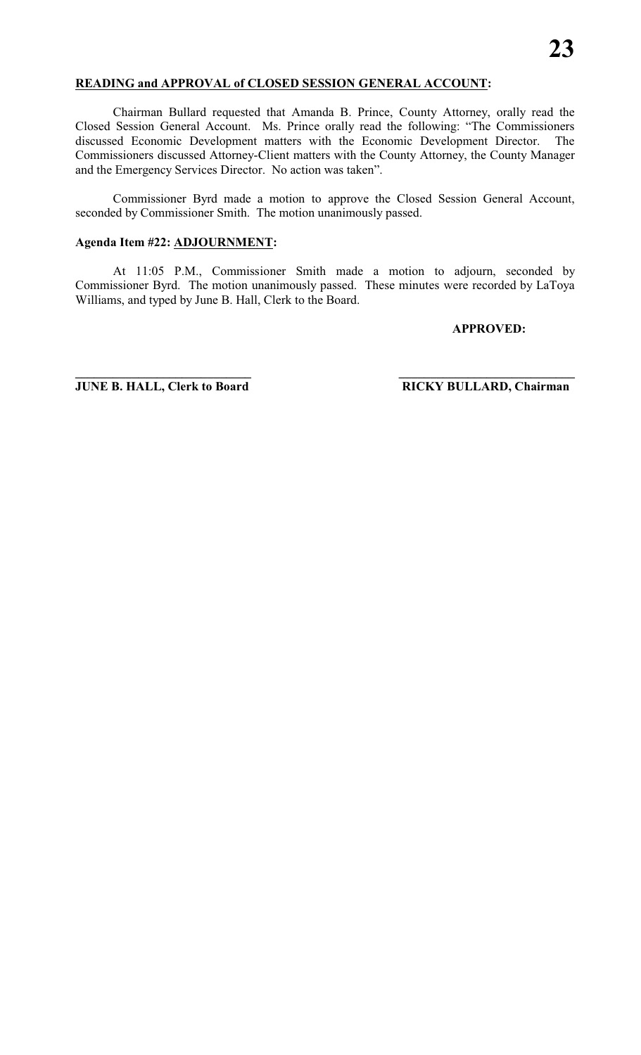#### **READING and APPROVAL of CLOSED SESSION GENERAL ACCOUNT:**

Chairman Bullard requested that Amanda B. Prince, County Attorney, orally read the Closed Session General Account. Ms. Prince orally read the following: "The Commissioners discussed Economic Development matters with the Economic Development Director. The Commissioners discussed Attorney-Client matters with the County Attorney, the County Manager and the Emergency Services Director. No action was taken".

Commissioner Byrd made a motion to approve the Closed Session General Account, seconded by Commissioner Smith. The motion unanimously passed.

#### **Agenda Item #22: ADJOURNMENT:**

At 11:05 P.M., Commissioner Smith made a motion to adjourn, seconded by Commissioner Byrd. The motion unanimously passed. These minutes were recorded by LaToya Williams, and typed by June B. Hall, Clerk to the Board.

**\_\_\_\_\_\_\_\_\_\_\_\_\_\_\_\_\_\_\_\_\_\_\_\_\_\_\_\_ \_\_\_\_\_\_\_\_\_\_\_\_\_\_\_\_\_\_\_\_\_\_\_\_\_\_\_\_**

#### **APPROVED:**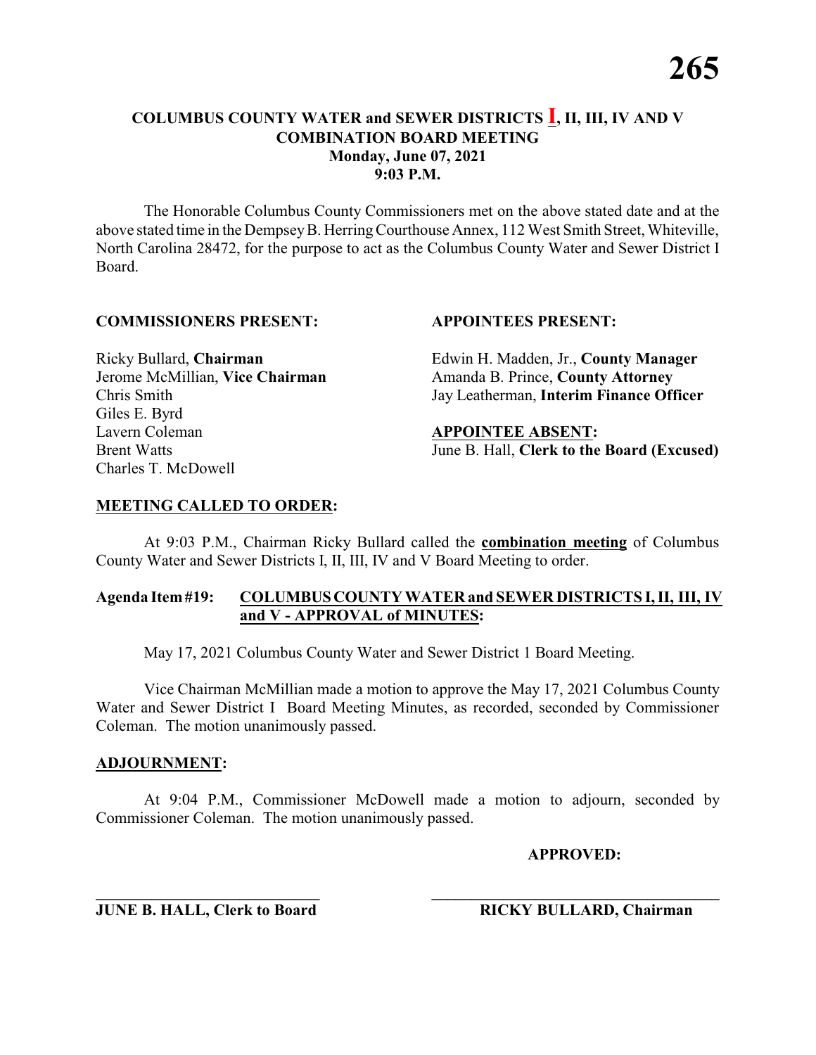The Honorable Columbus County Commissioners met on the above stated date and at the above stated time in the DempseyB. HerringCourthouse Annex, 112 West Smith Street, Whiteville, North Carolina 28472, for the purpose to act as the Columbus County Water and Sewer District I Board.

#### **COMMISSIONERS PRESENT: APPOINTEES PRESENT:**

Giles E. Byrd Lavern Coleman **APPOINTEE ABSENT:** Charles T. McDowell

Ricky Bullard, **Chairman** Edwin H. Madden, Jr., **County Manager** Jerome McMillian, **Vice Chairman** Amanda B. Prince, **County Attorney** Chris Smith Jay Leatherman, **Interim Finance Officer**

Brent Watts June B. Hall, **Clerk to the Board (Excused)**

#### **MEETING CALLED TO ORDER:**

At 9:03 P.M., Chairman Ricky Bullard called the **combination meeting** of Columbus County Water and Sewer Districts I, II, III, IV and V Board Meeting to order.

#### **Agenda Item#19: COLUMBUSCOUNTY WATER and SEWER DISTRICTS I, II, III, IV and V - APPROVAL of MINUTES:**

May 17, 2021 Columbus County Water and Sewer District 1 Board Meeting.

Vice Chairman McMillian made a motion to approve the May 17, 2021 Columbus County Water and Sewer District I Board Meeting Minutes, as recorded, seconded by Commissioner Coleman. The motion unanimously passed.

#### **ADJOURNMENT:**

At 9:04 P.M., Commissioner McDowell made a motion to adjourn, seconded by Commissioner Coleman. The motion unanimously passed.

**\_\_\_\_\_\_\_\_\_\_\_\_\_\_\_\_\_\_\_\_\_\_\_\_\_\_\_\_ \_\_\_\_\_\_\_\_\_\_\_\_\_\_\_\_\_\_\_\_\_\_\_\_\_\_\_\_\_\_\_\_\_\_\_\_**

**APPROVED:**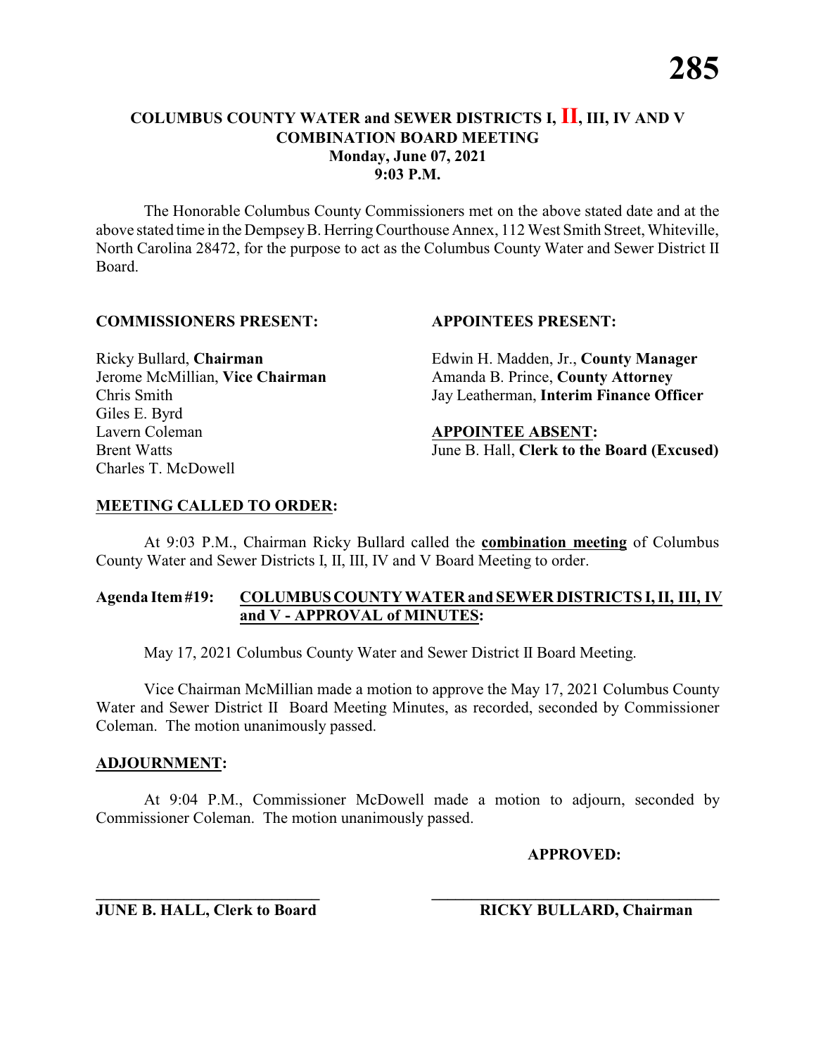The Honorable Columbus County Commissioners met on the above stated date and at the above stated time in the DempseyB. HerringCourthouse Annex, 112 West Smith Street, Whiteville, North Carolina 28472, for the purpose to act as the Columbus County Water and Sewer District II Board.

#### **COMMISSIONERS PRESENT: APPOINTEES PRESENT:**

Giles E. Byrd Lavern Coleman **APPOINTEE ABSENT:** Charles T. McDowell

Ricky Bullard, **Chairman** Edwin H. Madden, Jr., **County Manager** Jerome McMillian, **Vice Chairman** Amanda B. Prince, **County Attorney** Chris Smith Jay Leatherman, **Interim Finance Officer**

Brent Watts June B. Hall, **Clerk to the Board (Excused)**

#### **MEETING CALLED TO ORDER:**

At 9:03 P.M., Chairman Ricky Bullard called the **combination meeting** of Columbus County Water and Sewer Districts I, II, III, IV and V Board Meeting to order.

#### **Agenda Item#19: COLUMBUSCOUNTY WATER and SEWER DISTRICTS I, II, III, IV and V - APPROVAL of MINUTES:**

May 17, 2021 Columbus County Water and Sewer District II Board Meeting.

Vice Chairman McMillian made a motion to approve the May 17, 2021 Columbus County Water and Sewer District II Board Meeting Minutes, as recorded, seconded by Commissioner Coleman. The motion unanimously passed.

#### **ADJOURNMENT:**

At 9:04 P.M., Commissioner McDowell made a motion to adjourn, seconded by Commissioner Coleman. The motion unanimously passed.

**\_\_\_\_\_\_\_\_\_\_\_\_\_\_\_\_\_\_\_\_\_\_\_\_\_\_\_\_ \_\_\_\_\_\_\_\_\_\_\_\_\_\_\_\_\_\_\_\_\_\_\_\_\_\_\_\_\_\_\_\_\_\_\_\_**

**APPROVED:**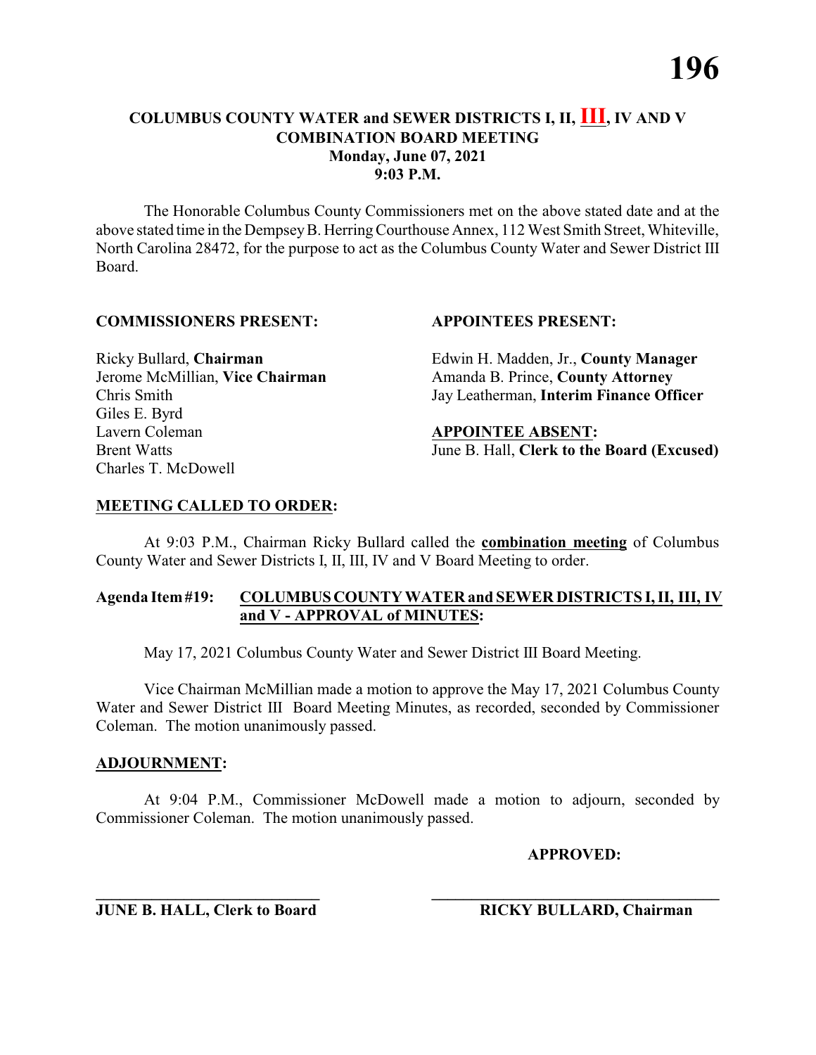The Honorable Columbus County Commissioners met on the above stated date and at the above stated time in the DempseyB. HerringCourthouse Annex, 112 West Smith Street, Whiteville, North Carolina 28472, for the purpose to act as the Columbus County Water and Sewer District III Board.

#### **COMMISSIONERS PRESENT: APPOINTEES PRESENT:**

Giles E. Byrd Lavern Coleman **APPOINTEE ABSENT:** Charles T. McDowell

Ricky Bullard, **Chairman** Edwin H. Madden, Jr., **County Manager** Jerome McMillian, **Vice Chairman** Amanda B. Prince, **County Attorney** Chris Smith Jay Leatherman, **Interim Finance Officer**

Brent Watts June B. Hall, **Clerk to the Board (Excused)**

#### **MEETING CALLED TO ORDER:**

At 9:03 P.M., Chairman Ricky Bullard called the **combination meeting** of Columbus County Water and Sewer Districts I, II, III, IV and V Board Meeting to order.

#### **Agenda Item#19: COLUMBUSCOUNTY WATER and SEWER DISTRICTS I, II, III, IV and V - APPROVAL of MINUTES:**

May 17, 2021 Columbus County Water and Sewer District III Board Meeting.

Vice Chairman McMillian made a motion to approve the May 17, 2021 Columbus County Water and Sewer District III Board Meeting Minutes, as recorded, seconded by Commissioner Coleman. The motion unanimously passed.

#### **ADJOURNMENT:**

At 9:04 P.M., Commissioner McDowell made a motion to adjourn, seconded by Commissioner Coleman. The motion unanimously passed.

**APPROVED:**

**\_\_\_\_\_\_\_\_\_\_\_\_\_\_\_\_\_\_\_\_\_\_\_\_\_\_\_\_ \_\_\_\_\_\_\_\_\_\_\_\_\_\_\_\_\_\_\_\_\_\_\_\_\_\_\_\_\_\_\_\_\_\_\_\_ JUNE B. HALL, Clerk to Board RICKY BULLARD, Chairman**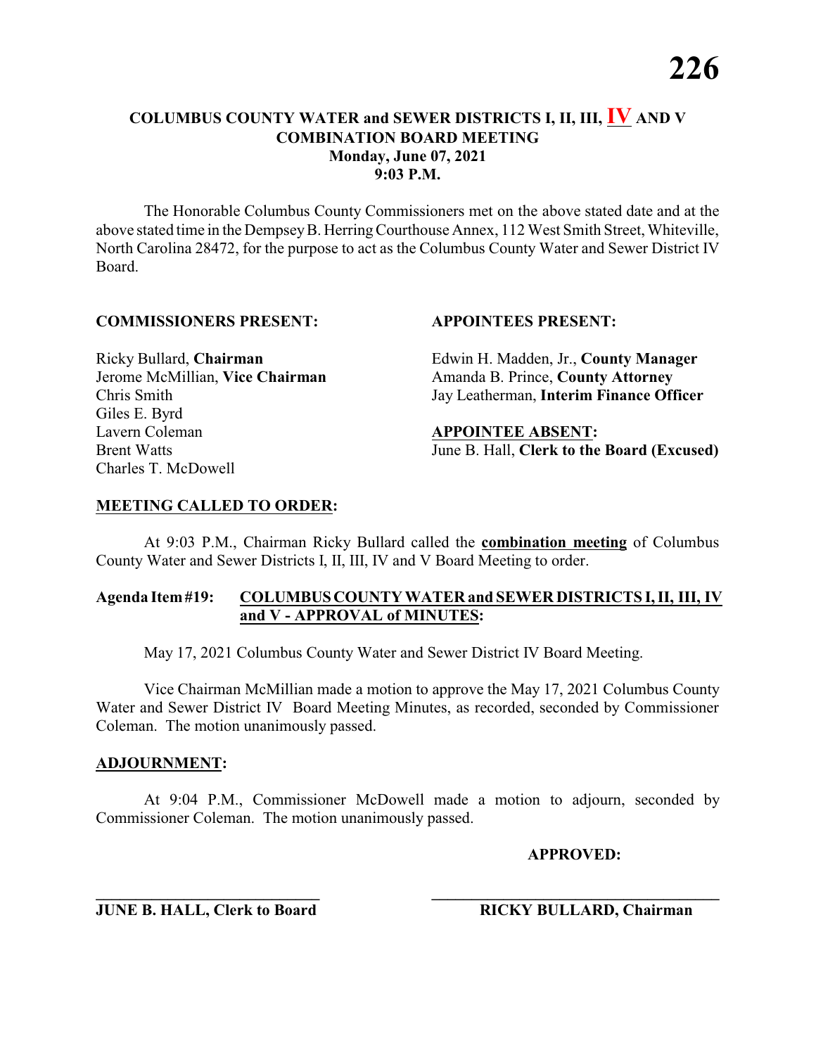The Honorable Columbus County Commissioners met on the above stated date and at the above stated time in the DempseyB. HerringCourthouse Annex, 112 West Smith Street, Whiteville, North Carolina 28472, for the purpose to act as the Columbus County Water and Sewer District IV Board.

#### **COMMISSIONERS PRESENT: APPOINTEES PRESENT:**

Giles E. Byrd Lavern Coleman **APPOINTEE ABSENT:** Charles T. McDowell

Ricky Bullard, **Chairman** Edwin H. Madden, Jr., **County Manager** Jerome McMillian, **Vice Chairman** Amanda B. Prince, **County Attorney** Chris Smith Jay Leatherman, **Interim Finance Officer**

Brent Watts June B. Hall, **Clerk to the Board (Excused)**

#### **MEETING CALLED TO ORDER:**

At 9:03 P.M., Chairman Ricky Bullard called the **combination meeting** of Columbus County Water and Sewer Districts I, II, III, IV and V Board Meeting to order.

#### **Agenda Item#19: COLUMBUSCOUNTY WATER and SEWER DISTRICTS I, II, III, IV and V - APPROVAL of MINUTES:**

May 17, 2021 Columbus County Water and Sewer District IV Board Meeting.

Vice Chairman McMillian made a motion to approve the May 17, 2021 Columbus County Water and Sewer District IV Board Meeting Minutes, as recorded, seconded by Commissioner Coleman. The motion unanimously passed.

#### **ADJOURNMENT:**

At 9:04 P.M., Commissioner McDowell made a motion to adjourn, seconded by Commissioner Coleman. The motion unanimously passed.

**\_\_\_\_\_\_\_\_\_\_\_\_\_\_\_\_\_\_\_\_\_\_\_\_\_\_\_\_ \_\_\_\_\_\_\_\_\_\_\_\_\_\_\_\_\_\_\_\_\_\_\_\_\_\_\_\_\_\_\_\_\_\_\_\_**

**APPROVED:**